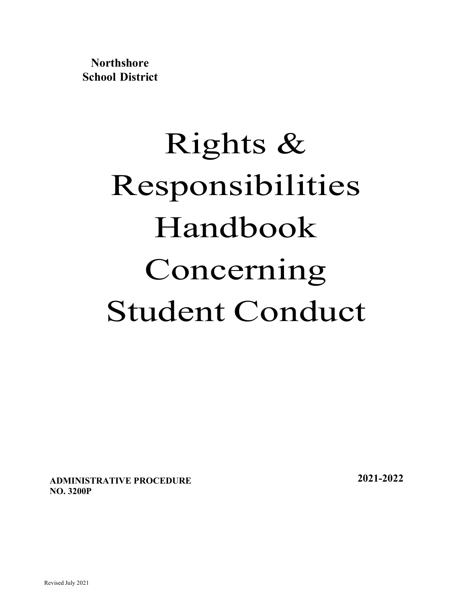**Northshore School District**

# Rights & Responsibilities Handbook Concerning Student Conduct

**ADMINISTRATIVE PROCEDURE NO. 3200P**

**2021-2022**

Revised July 2021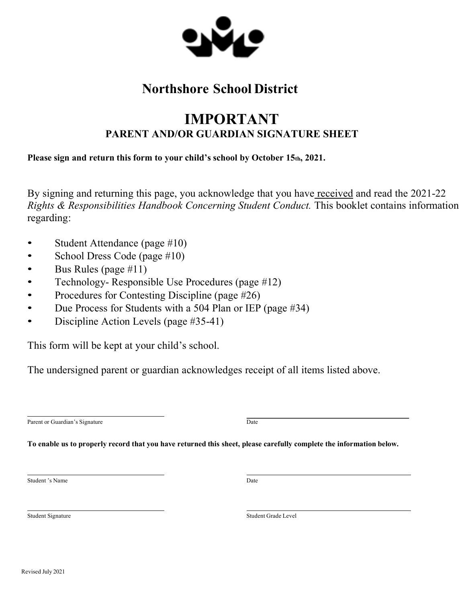

# **Northshore School District**

# **IMPORTANT PARENT AND/OR GUARDIAN SIGNATURE SHEET**

**Please sign and return this form to your child's school by October 15th, 2021.**

By signing and returning this page, you acknowledge that you have received and read the 2021-22 *Rights & Responsibilities Handbook Concerning Student Conduct.* This booklet contains information regarding:

- Student Attendance (page #10)
- School Dress Code (page #10)
- Bus Rules (page #11)
- Technology- Responsible Use Procedures (page #12)
- Procedures for Contesting Discipline (page #26)
- Due Process for Students with a 504 Plan or IEP (page #34)
- Discipline Action Levels (page #35-41)

This form will be kept at your child's school.

The undersigned parent or guardian acknowledges receipt of all items listed above.

Parent or Guardian's Signature  $\overline{Date}$ 

To enable us to properly record that you have returned this sheet, please carefully complete the information below.

Student 's Name Date

Student Signature Student Grade Level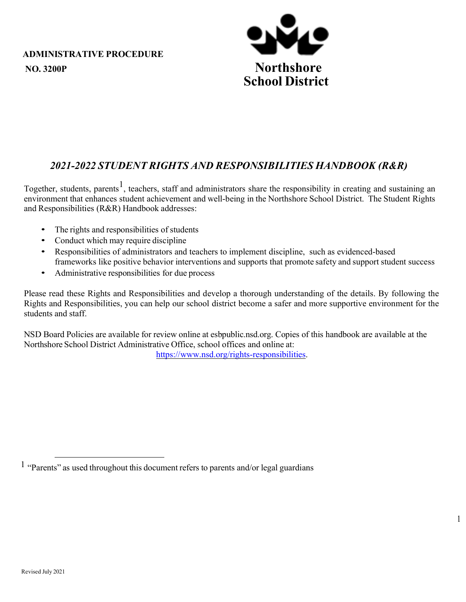

# *2021-2022 STUDENT RIGHTS AND RESPONSIBILITIES HANDBOOK (R&R)*

Together, students, parents<sup>1</sup>, teachers, staff and administrators share the responsibility in creating and sustaining an environment that enhances student achievement and well-being in the Northshore School District. The Student Rights and Responsibilities (R&R) Handbook addresses:

- The rights and responsibilities of students
- Conduct which may require discipline
- Responsibilities of administrators and teachers to implement discipline, such as evidenced-based frameworks like positive behavior interventions and supports that promote safety and support student success
- Administrative responsibilities for due process

Please read these Rights and Responsibilities and develop a thorough understanding of the details. By following the Rights and Responsibilities, you can help our school district become a safer and more supportive environment for the students and staff.

NSD Board Policies are available for review online at esbpublic.nsd.org. Copies of this handbook are available at the Northshore School District Administrative Office, school offices and online at:

https://www.nsd.org/rights-responsibilities.

1

<sup>1</sup> "Parents" as used throughout this document refers to parents and/or legal guardians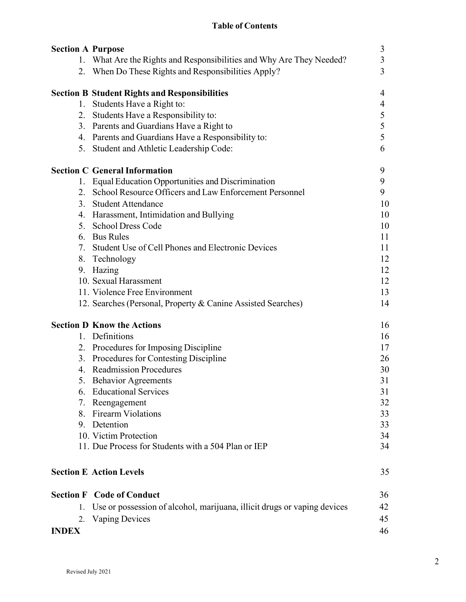## **Table of Contents**

| <b>Section A Purpose</b>                                                       | 3  |
|--------------------------------------------------------------------------------|----|
| 1. What Are the Rights and Responsibilities and Why Are They Needed?           | 3  |
| 2. When Do These Rights and Responsibilities Apply?                            | 3  |
| <b>Section B Student Rights and Responsibilities</b>                           | 4  |
| Students Have a Right to:<br>1.                                                | 4  |
| 2. Students Have a Responsibility to:                                          | 5  |
| 3. Parents and Guardians Have a Right to                                       | 5  |
| 4. Parents and Guardians Have a Responsibility to:                             | 5  |
| 5. Student and Athletic Leadership Code:                                       | 6  |
| <b>Section C General Information</b>                                           | 9  |
| 1. Equal Education Opportunities and Discrimination                            | 9  |
| 2. School Resource Officers and Law Enforcement Personnel                      | 9  |
| 3. Student Attendance                                                          | 10 |
| 4. Harassment, Intimidation and Bullying                                       | 10 |
| 5. School Dress Code                                                           | 10 |
| 6. Bus Rules                                                                   | 11 |
| 7. Student Use of Cell Phones and Electronic Devices                           | 11 |
| 8. Technology                                                                  | 12 |
| 9. Hazing                                                                      | 12 |
| 10. Sexual Harassment                                                          | 12 |
| 11. Violence Free Environment                                                  | 13 |
| 12. Searches (Personal, Property & Canine Assisted Searches)                   | 14 |
| <b>Section D Know the Actions</b>                                              | 16 |
| 1. Definitions                                                                 | 16 |
| 2. Procedures for Imposing Discipline                                          | 17 |
| 3. Procedures for Contesting Discipline                                        | 26 |
| 4. Readmission Procedures                                                      | 30 |
| 5. Behavior Agreements                                                         | 31 |
| <b>Educational Services</b>                                                    | 31 |
| 7. Reengagement                                                                | 32 |
| 8. Firearm Violations                                                          | 33 |
| 9. Detention                                                                   | 33 |
| 10. Victim Protection                                                          | 34 |
| 11. Due Process for Students with a 504 Plan or IEP                            | 34 |
| <b>Section E Action Levels</b>                                                 | 35 |
| <b>Section F</b> Code of Conduct                                               | 36 |
| Use or possession of alcohol, marijuana, illicit drugs or vaping devices<br>1. | 42 |
| <b>Vaping Devices</b><br>2.                                                    | 45 |
| <b>INDEX</b>                                                                   | 46 |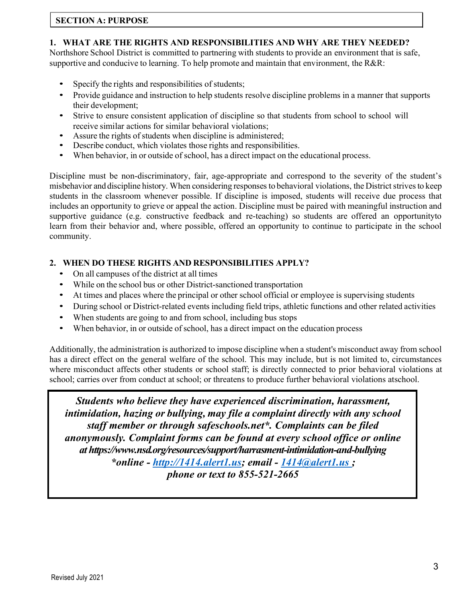#### **SECTION A: PURPOSE**

#### **1. WHAT ARE THE RIGHTS AND RESPONSIBILITIES AND WHY ARE THEY NEEDED?**

Northshore School District is committed to partnering with students to provide an environment that is safe, supportive and conducive to learning. To help promote and maintain that environment, the R&R:

- Specify the rights and responsibilities of students;
- Provide guidance and instruction to help students resolve discipline problems in a manner that supports their development;
- Strive to ensure consistent application of discipline so that students from school to school will receive similar actions for similar behavioral violations;
- Assure the rights of students when discipline is administered;
- Describe conduct, which violates those rights and responsibilities.
- When behavior, in or outside of school, has a direct impact on the educational process.

Discipline must be non-discriminatory, fair, age-appropriate and correspond to the severity of the student's misbehavior and discipline history. When considering responses to behavioral violations, the District strives to keep students in the classroom whenever possible. If discipline is imposed, students will receive due process that includes an opportunity to grieve or appeal the action. Discipline must be paired with meaningful instruction and supportive guidance (e.g. constructive feedback and re-teaching) so students are offered an opportunityto learn from their behavior and, where possible, offered an opportunity to continue to participate in the school community.

#### **2. WHEN DO THESE RIGHTS AND RESPONSIBILITIES APPLY?**

- On all campuses of the district at all times
- While on the school bus or other District-sanctioned transportation
- At times and places where the principal or other school official or employee is supervising students
- During school or District-related events including field trips, athletic functions and other related activities
- When students are going to and from school, including bus stops
- When behavior, in or outside of school, has a direct impact on the education process

Additionally, the administration is authorized to impose discipline when a student's misconduct away from school has a direct effect on the general welfare of the school. This may include, but is not limited to, circumstances where misconduct affects other students or school staff; is directly connected to prior behavioral violations at school; carries over from conduct at school; or threatens to produce further behavioral violations atschool.

*Students who believe they have experienced discrimination, harassment, intimidation, hazing or bullying, may file a complaint directly with any school staff member or through safeschools.net\*. Complaints can be filed anonymously. Complaint forms can be found at every school office or online at https://www.nsd.org/resources/support/harrasment-intimidation-and-bullying \*online - http://1414.alert1.us; email - 1414@alert1.us ; phone or text to 855-521-2665*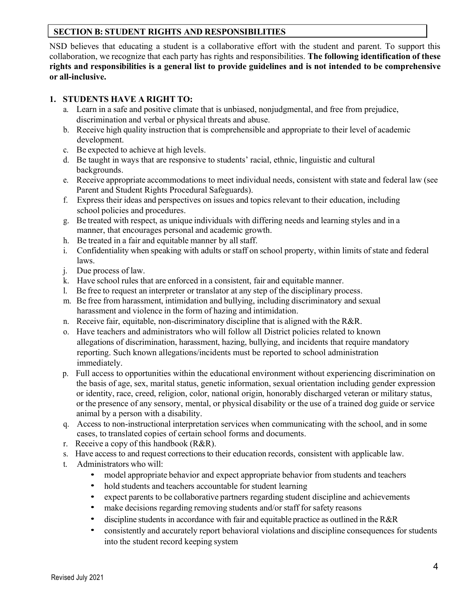#### **SECTION B: STUDENT RIGHTS AND RESPONSIBILITIES**

NSD believes that educating a student is a collaborative effort with the student and parent. To support this collaboration, we recognize that each party has rights and responsibilities. **The following identification of these rights and responsibilities is a general list to provide guidelines and is not intended to be comprehensive or all-inclusive.**

#### **1. STUDENTS HAVE A RIGHT TO:**

- a. Learn in a safe and positive climate that is unbiased, nonjudgmental, and free from prejudice, discrimination and verbal or physical threats and abuse.
- b. Receive high quality instruction that is comprehensible and appropriate to their level of academic development.
- c. Be expected to achieve at high levels.
- d. Be taught in ways that are responsive to students' racial, ethnic, linguistic and cultural backgrounds.
- e. Receive appropriate accommodations to meet individual needs, consistent with state and federal law (see Parent and Student Rights Procedural Safeguards).
- f. Express their ideas and perspectives on issues and topics relevant to their education, including school policies and procedures.
- g. Be treated with respect, as unique individuals with differing needs and learning styles and in a manner, that encourages personal and academic growth.
- h. Be treated in a fair and equitable manner by all staff.
- i. Confidentiality when speaking with adults or staff on school property, within limits of state and federal laws.
- j. Due process of law.
- k. Have school rules that are enforced in a consistent, fair and equitable manner.
- l. Be free to request an interpreter or translator at any step of the disciplinary process.
- m. Be free from harassment, intimidation and bullying, including discriminatory and sexual harassment and violence in the form of hazing and intimidation.
- n. Receive fair, equitable, non-discriminatory discipline that is aligned with the R&R.
- o. Have teachers and administrators who will follow all District policies related to known allegations of discrimination, harassment, hazing, bullying, and incidents that require mandatory reporting. Such known allegations/incidents must be reported to school administration immediately.
- p. Full access to opportunities within the educational environment without experiencing discrimination on the basis of age, sex, marital status, genetic information, sexual orientation including gender expression or identity, race, creed, religion, color, national origin, honorably discharged veteran or military status, or the presence of any sensory, mental, or physical disability or the use of a trained dog guide or service animal by a person with a disability.
- q. Access to non-instructional interpretation services when communicating with the school, and in some cases, to translated copies of certain school forms and documents.
- r. Receive a copy of this handbook (R&R).
- s. Have access to and request correctionsto their education records, consistent with applicable law.
- t. Administrators who will:
	- model appropriate behavior and expect appropriate behavior from students and teachers
	- hold students and teachers accountable for student learning
	- expect parents to be collaborative partners regarding student discipline and achievements
	- make decisions regarding removing students and/or staff for safety reasons
	- discipline students in accordance with fair and equitable practice as outlined in the R&R
	- consistently and accurately report behavioral violations and discipline consequences for students into the student record keeping system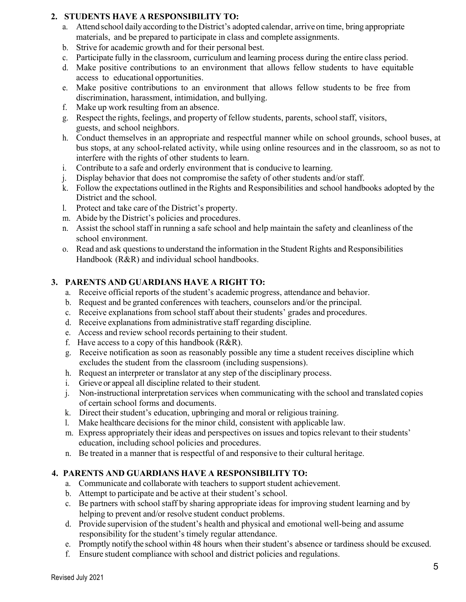#### **2. STUDENTS HAVE A RESPONSIBILITY TO:**

- a. Attend school daily according to the District's adopted calendar, arrive on time, bring appropriate materials, and be prepared to participate in class and complete assignments.
- b. Strive for academic growth and for their personal best.
- c. Participate fully in the classroom, curriculum and learning process during the entire class period.
- d. Make positive contributions to an environment that allows fellow students to have equitable access to educational opportunities.
- e. Make positive contributions to an environment that allows fellow students to be free from discrimination, harassment, intimidation, and bullying.
- f. Make up work resulting from an absence.
- g. Respect the rights, feelings, and property of fellow students, parents, schoolstaff, visitors, guests, and school neighbors.
- h. Conduct themselves in an appropriate and respectful manner while on school grounds, school buses, at bus stops, at any school-related activity, while using online resources and in the classroom, so as not to interfere with the rights of other students to learn.
- i. Contribute to a safe and orderly environment that is conducive to learning.
- j. Display behavior that does not compromise the safety of other students and/or staff.
- k. Follow the expectations outlined in the Rights and Responsibilities and school handbooks adopted by the District and the school.
- l. Protect and take care of the District's property.
- m. Abide by the District's policies and procedures.
- n. Assist the school staff in running a safe school and help maintain the safety and cleanliness of the school environment.
- o. Read and ask questions to understand the information in the Student Rights and Responsibilities Handbook (R&R) and individual school handbooks.

## **3. PARENTS AND GUARDIANS HAVE A RIGHT TO:**

- a. Receive official reports of the student's academic progress, attendance and behavior.
- b. Request and be granted conferences with teachers, counselors and/or the principal.
- c. Receive explanations from school staff about their students' grades and procedures.
- d. Receive explanations from administrative staff regarding discipline.
- e. Access and review school records pertaining to their student.
- f. Have access to a copy of this handbook  $(R\&R)$ .
- g. Receive notification as soon as reasonably possible any time a student receives discipline which excludes the student from the classroom (including suspensions).
- h. Request an interpreter or translator at any step of the disciplinary process.
- i. Grieve or appeal all discipline related to their student.
- j. Non-instructional interpretation services when communicating with the school and translated copies of certain school forms and documents.
- k. Direct their student's education, upbringing and moral or religious training.
- l. Make healthcare decisions for the minor child, consistent with applicable law.
- m. Express appropriately their ideas and perspectives on issues and topics relevant to their students' education, including school policies and procedures.
- n. Be treated in a manner that is respectful of and responsive to their cultural heritage.

#### **4. PARENTS AND GUARDIANS HAVE A RESPONSIBILITY TO:**

- a. Communicate and collaborate with teachers to support student achievement.
- b. Attempt to participate and be active at their student's school.
- c. Be partners with school staff by sharing appropriate ideas for improving student learning and by helping to prevent and/or resolve student conduct problems.
- d. Provide supervision of the student's health and physical and emotional well-being and assume responsibility for the student's timely regular attendance.
- e. Promptly notifythe school within 48 hours when their student's absence or tardiness should be excused.
- f. Ensure student compliance with school and district policies and regulations.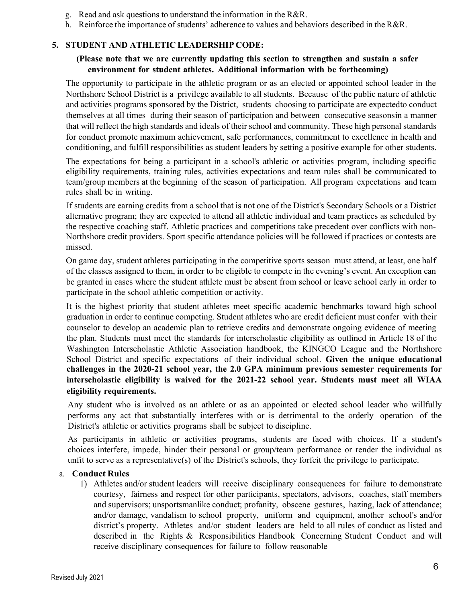- g. Read and ask questions to understand the information in the R&R.
- h. Reinforce the importance of students' adherence to values and behaviors described in the R&R.

#### **5. STUDENT AND ATHLETIC LEADERSHIP CODE:**

#### **(Please note that we are currently updating this section to strengthen and sustain a safer environment for student athletes. Additional information with be forthcoming)**

The opportunity to participate in the athletic program or as an elected or appointed school leader in the Northshore School District is a privilege available to all students. Because of the public nature of athletic and activities programs sponsored by the District, students choosing to participate are expectedto conduct themselves at all times during their season of participation and between consecutive seasonsin a manner that will reflect the high standards and ideals of their school and community. These high personal standards for conduct promote maximum achievement, safe performances, commitment to excellence in health and conditioning, and fulfill responsibilities as student leaders by setting a positive example for other students.

The expectations for being a participant in a school's athletic or activities program, including specific eligibility requirements, training rules, activities expectations and team rules shall be communicated to team/group members at the beginning of the season of participation. All program expectations and team rules shall be in writing.

If students are earning credits from a school that is not one of the District's Secondary Schools or a District alternative program; they are expected to attend all athletic individual and team practices as scheduled by the respective coaching staff. Athletic practices and competitions take precedent over conflicts with non-Northshore credit providers. Sport specific attendance policies will be followed if practices or contests are missed.

On game day, student athletes participating in the competitive sports season must attend, at least, one half of the classes assigned to them, in order to be eligible to compete in the evening's event. An exception can be granted in cases where the student athlete must be absent from school or leave school early in order to participate in the school athletic competition or activity.

It is the highest priority that student athletes meet specific academic benchmarks toward high school graduation in order to continue competing. Student athletes who are credit deficient must confer with their counselor to develop an academic plan to retrieve credits and demonstrate ongoing evidence of meeting the plan. Students must meet the standards for interscholastic eligibility as outlined in Article 18 of the Washington Interscholastic Athletic Association handbook, the KINGCO League and the Northshore School District and specific expectations of their individual school. **Given the unique educational challenges in the 2020-21 school year, the 2.0 GPA minimum previous semester requirements for interscholastic eligibility is waived for the 2021-22 school year. Students must meet all WIAA eligibility requirements.** 

Any student who is involved as an athlete or as an appointed or elected school leader who willfully performs any act that substantially interferes with or is detrimental to the orderly operation of the District's athletic or activities programs shall be subject to discipline.

As participants in athletic or activities programs, students are faced with choices. If a student's choices interfere, impede, hinder their personal or group/team performance or render the individual as unfit to serve as a representative(s) of the District's schools, they forfeit the privilege to participate.

#### a. **Conduct Rules**

1) Athletes and/or student leaders will receive disciplinary consequences for failure to demonstrate courtesy, fairness and respect for other participants, spectators, advisors, coaches, staff members and supervisors; unsportsmanlike conduct; profanity, obscene gestures, hazing, lack of attendance; and/or damage, vandalism to school property, uniform and equipment, another school's and/or district's property. Athletes and/or student leaders are held to all rules of conduct as listed and described in the Rights & Responsibilities Handbook Concerning Student Conduct and will receive disciplinary consequences for failure to follow reasonable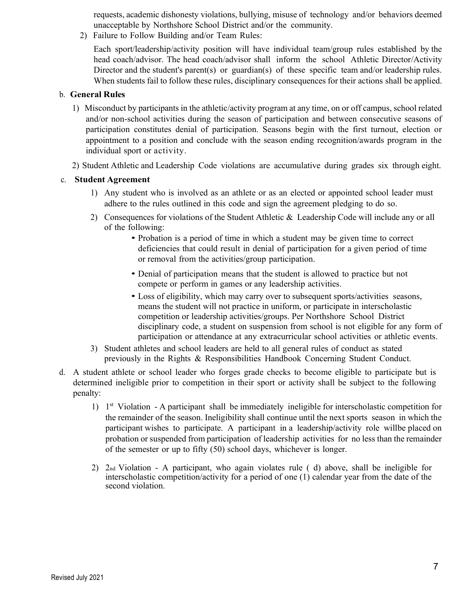requests, academic dishonesty violations, bullying, misuse of technology and/or behaviors deemed unacceptable by Northshore School District and/or the community.

2) Failure to Follow Building and/or Team Rules:

Each sport/leadership/activity position will have individual team/group rules established by the head coach/advisor. The head coach/advisor shall inform the school Athletic Director/Activity Director and the student's parent(s) or guardian(s) of these specific team and/or leadership rules. When students fail to follow these rules, disciplinary consequences for their actions shall be applied.

#### b. **General Rules**

- 1) Misconduct by participants in the athletic/activity program at any time, on or off campus, school related and/or non-school activities during the season of participation and between consecutive seasons of participation constitutes denial of participation. Seasons begin with the first turnout, election or appointment to a position and conclude with the season ending recognition/awards program in the individual sport or activity.
- 2) Student Athletic and Leadership Code violations are accumulative during grades six through eight.

#### c. **Student Agreement**

- 1) Any student who is involved as an athlete or as an elected or appointed school leader must adhere to the rules outlined in this code and sign the agreement pledging to do so.
- 2) Consequences for violations of the Student Athletic & Leadership Code will include any or all of the following:
	- Probation is a period of time in which a student may be given time to correct deficiencies that could result in denial of participation for a given period of time or removal from the activities/group participation.
	- Denial of participation means that the student is allowed to practice but not compete or perform in games or any leadership activities.
	- Loss of eligibility, which may carry over to subsequent sports/activities seasons, means the student will not practice in uniform, or participate in interscholastic competition or leadership activities/groups. Per Northshore School District disciplinary code, a student on suspension from school is not eligible for any form of participation or attendance at any extracurricular school activities or athletic events.
- 3) Student athletes and school leaders are held to all general rules of conduct as stated previously in the Rights & Responsibilities Handbook Concerning Student Conduct.
- d. A student athlete or school leader who forges grade checks to become eligible to participate but is determined ineligible prior to competition in their sport or activity shall be subject to the following penalty:
	- 1)  $1<sup>st</sup>$  Violation A participant shall be immediately ineligible for interscholastic competition for the remainder of the season. Ineligibility shall continue until the next sports season in which the participant wishes to participate. A participant in a leadership/activity role willbe placed on probation or suspended from participation of leadership activities for no less than the remainder of the semester or up to fifty (50) school days, whichever is longer.
	- 2) 2nd Violation A participant, who again violates rule ( d) above, shall be ineligible for interscholastic competition/activity for a period of one (1) calendar year from the date of the second violation.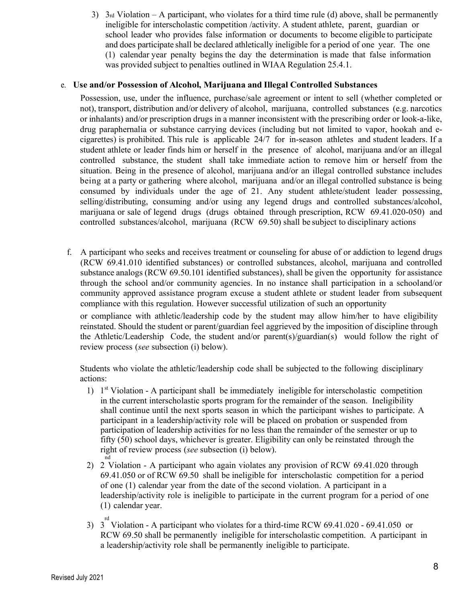3)  $3rd$  Violation – A participant, who violates for a third time rule (d) above, shall be permanently ineligible for interscholastic competition /activity. A student athlete, parent, guardian or school leader who provides false information or documents to become eligible to participate and does participate shall be declared athletically ineligible for a period of one year. The one (1) calendar year penalty begins the day the determination is made that false information was provided subject to penalties outlined in WIAA Regulation 25.4.1.

#### e. **Use and/or Possession of Alcohol, Marijuana and Illegal Controlled Substances**

Possession, use, under the influence, purchase/sale agreement or intent to sell (whether completed or not), transport, distribution and/or delivery of alcohol, marijuana, controlled substances (e.g. narcotics or inhalants) and/or prescription drugs in a manner inconsistent with the prescribing order or look-a-like, drug paraphernalia or substance carrying devices (including but not limited to vapor, hookah and ecigarettes) is prohibited. This rule is applicable 24/7 for in-season athletes and student leaders. If a student athlete or leader finds him or herself in the presence of alcohol, marijuana and/or an illegal controlled substance, the student shall take immediate action to remove him or herself from the situation. Being in the presence of alcohol, marijuana and/or an illegal controlled substance includes being at a party or gathering where alcohol, marijuana and/or an illegal controlled substance is being consumed by individuals under the age of 21. Any student athlete/student leader possessing, selling/distributing, consuming and/or using any legend drugs and controlled substances/alcohol, marijuana or sale of legend drugs (drugs obtained through prescription, RCW 69.41.020-050) and controlled substances/alcohol, marijuana (RCW 69.50) shall be subject to disciplinary actions

f. A participant who seeks and receives treatment or counseling for abuse of or addiction to legend drugs (RCW 69.41.010 identified substances) or controlled substances, alcohol, marijuana and controlled substance analogs (RCW 69.50.101 identified substances), shall be given the opportunity for assistance through the school and/or community agencies. In no instance shall participation in a schooland/or community approved assistance program excuse a student athlete or student leader from subsequent compliance with this regulation. However successful utilization of such an opportunity

or compliance with athletic/leadership code by the student may allow him/her to have eligibility reinstated. Should the student or parent/guardian feel aggrieved by the imposition of discipline through the Athletic/Leadership Code, the student and/or parent(s)/guardian(s) would follow the right of review process (*see* subsection (i) below).

Students who violate the athletic/leadership code shall be subjected to the following disciplinary actions:

- 1)  $1<sup>st</sup> Violation A participant shall be immediately ineligible for interscholastic competition$ in the current interscholastic sports program for the remainder of the season. Ineligibility shall continue until the next sports season in which the participant wishes to participate. A participant in a leadership/activity role will be placed on probation or suspended from participation of leadership activities for no less than the remainder of the semester or up to fifty (50) school days, whichever is greater. Eligibility can only be reinstated through the right of review process (*see* subsection (i) below).
- nd 2) 2 Violation - A participant who again violates any provision of RCW 69.41.020 through 69.41.050 or of RCW 69.50 shall be ineligible for interscholastic competition for a period of one (1) calendar year from the date of the second violation. A participant in a leadership/activity role is ineligible to participate in the current program for a period of one (1) calendar year.
- 3)  $3^{rd}$  Violation A participant who violates for a third-time RCW 69.41.020 69.41.050 or RCW 69.50 shall be permanently ineligible for interscholastic competition. A participant in a leadership/activity role shall be permanently ineligible to participate.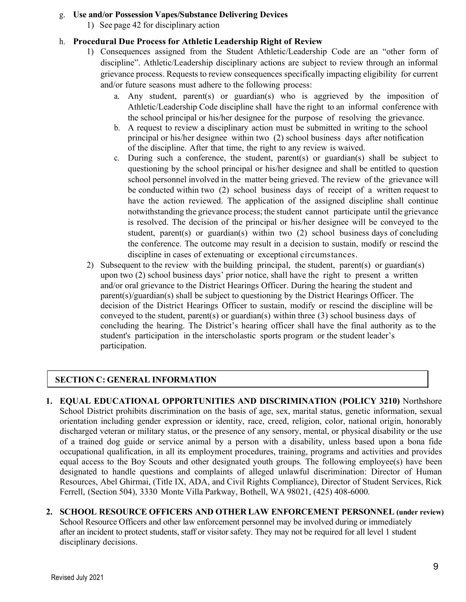#### g. **Use and/or Possession Vapes/Substance Delivering Devices**

1) See page 42 for disciplinary action

## h. **Procedural Due Process for Athletic Leadership Right of Review**

- 1) Consequences assigned from the Student Athletic/Leadership Code are an "other form of discipline". Athletic/Leadership disciplinary actions are subject to review through an informal grievance process. Requests to review consequences specifically impacting eligibility for current and/or future seasons must adhere to the following process:
	- a. Any student, parent(s) or guardian(s) who is aggrieved by the imposition of Athletic/Leadership Code discipline shall have the right to an informal conference with the school principal or his/her designee for the purpose of resolving the grievance.
	- b. A request to review a disciplinary action must be submitted in writing to the school principal or his/her designee within two (2) school business days after notification of the discipline. After that time, the right to any review is waived.
	- c. During such a conference, the student, parent(s) or guardian(s) shall be subject to questioning by the school principal or his/her designee and shall be entitled to question school personnel involved in the matter being grieved. The review of the grievance will be conducted within two (2) school business days of receipt of a written request to have the action reviewed. The application of the assigned discipline shall continue notwithstanding the grievance process; the student cannot participate until the grievance is resolved. The decision of the principal or his/her designee will be conveyed to the student, parent(s) or guardian(s) within two (2) school business days of concluding the conference. The outcome may result in a decision to sustain, modify or rescind the discipline in cases of extenuating or exceptional circumstances.
- 2) Subsequent to the review with the building principal, the student, parent(s) or guardian(s) upon two (2) school business days' prior notice, shall have the right to present a written and/or oral grievance to the District Hearings Officer. During the hearing the student and parent(s)/guardian(s) shall be subject to questioning by the District Hearings Officer. The decision of the District Hearings Officer to sustain, modify or rescind the discipline will be conveyed to the student, parent(s) or guardian(s) within three (3) school business days of concluding the hearing. The District's hearing officer shall have the final authority as to the student's participation in the interscholastic sports program or the student leader's participation.

# **SECTION C: GENERAL INFORMATION**

- **1. EQUAL EDUCATIONAL OPPORTUNITIES AND DISCRIMINATION (POLICY 3210)** Northshore School District prohibits discrimination on the basis of age, sex, marital status, genetic information, sexual orientation including gender expression or identity, race, creed, religion, color, national origin, honorably discharged veteran or military status, or the presence of any sensory, mental, or physical disability or the use of a trained dog guide or service animal by a person with a disability, unless based upon a bona fide occupational qualification, in all its employment procedures, training, programs and activities and provides equal access to the Boy Scouts and other designated youth groups*.* The following employee(s) have been designated to handle questions and complaints of alleged unlawful discrimination: Director of Human Resources, Abel Ghirmai, (Title IX, ADA, and Civil Rights Compliance), Director of Student Services, Rick Ferrell, (Section 504), 3330 Monte Villa Parkway, Bothell, WA 98021, (425) 408-6000.
- **2. SCHOOL RESOURCE OFFICERS AND OTHER LAW ENFORCEMENT PERSONNEL (under review)** School Resource Officers and other law enforcement personnel may be involved during or immediately after an incident to protect students, staff or visitor safety. They may not be required for all level 1 student disciplinary decisions.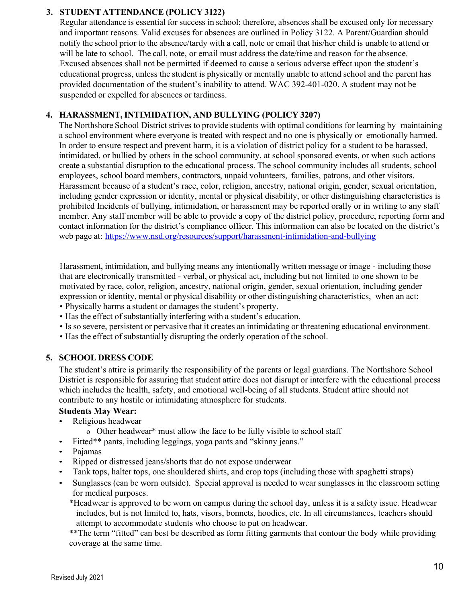#### **3. STUDENT ATTENDANCE (POLICY 3122)**

Regular attendance is essential for success in school; therefore, absences shall be excused only for necessary and important reasons. Valid excuses for absences are outlined in Policy 3122. A Parent/Guardian should notify the school prior to the absence/tardy with a call, note or email that his/her child is unable to attend or will be late to school. The call, note, or email must address the date/time and reason for the absence. Excused absences shall not be permitted if deemed to cause a serious adverse effect upon the student's educational progress, unless the student is physically or mentally unable to attend school and the parent has provided documentation of the student's inability to attend. WAC 392-401-020. A student may not be suspended or expelled for absences or tardiness.

#### **4. HARASSMENT, INTIMIDATION, AND BULLYING (POLICY 3207)**

The Northshore School District strives to provide students with optimal conditions for learning by maintaining a school environment where everyone is treated with respect and no one is physically or emotionally harmed. In order to ensure respect and prevent harm, it is a violation of district policy for a student to be harassed, intimidated, or bullied by others in the school community, at school sponsored events, or when such actions create a substantial disruption to the educational process. The school community includes all students, school employees, school board members, contractors, unpaid volunteers, families, patrons, and other visitors. Harassment because of a student's race, color, religion, ancestry, national origin, gender, sexual orientation, including gender expression or identity, mental or physical disability, or other distinguishing characteristics is prohibited Incidents of bullying, intimidation, or harassment may be reported orally or in writing to any staff member. Any staff member will be able to provide a copy of the district policy, procedure, reporting form and contact information for the district's compliance officer. This information can also be located on the district's web page at: https://www.nsd.org/resources/support/harassment-intimidation-and-bullying

Harassment, intimidation, and bullying means any intentionally written message or image - including those that are electronically transmitted - verbal, or physical act, including but not limited to one shown to be motivated by race, color, religion, ancestry, national origin, gender, sexual orientation, including gender expression or identity, mental or physical disability or other distinguishing characteristics, when an act:

- Physically harms a student or damages the student's property.
- Has the effect of substantially interfering with a student's education.
- Is so severe, persistent or pervasive that it creates an intimidating or threatening educational environment.
- Has the effect of substantially disrupting the orderly operation of the school.

#### **5. SCHOOL DRESS CODE**

The student's attire is primarily the responsibility of the parents or legal guardians. The Northshore School District is responsible for assuring that student attire does not disrupt or interfere with the educational process which includes the health, safety, and emotional well-being of all students. Student attire should not contribute to any hostile or intimidating atmosphere for students.

#### **Students May Wear:**

- Religious headwear
	- o Other headwear\* must allow the face to be fully visible to school staff
- Fitted\*\* pants, including leggings, yoga pants and "skinny jeans."
- Pajamas
- Ripped or distressed jeans/shorts that do not expose underwear
- Tank tops, halter tops, one shouldered shirts, and crop tops (including those with spaghetti straps)
- Sunglasses (can be worn outside). Special approval is needed to wear sunglasses in the classroom setting for medical purposes.
	- \*Headwear is approved to be worn on campus during the school day, unless it is a safety issue. Headwear includes, but is not limited to, hats, visors, bonnets, hoodies, etc. In all circumstances, teachers should attempt to accommodate students who choose to put on headwear.

\*\*The term "fitted" can best be described as form fitting garments that contour the body while providing coverage at the same time.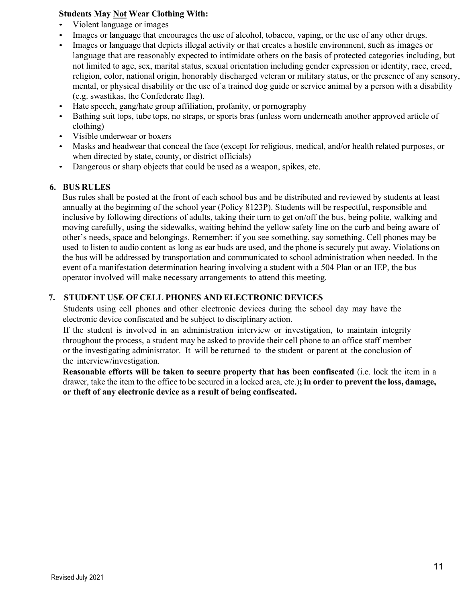#### **Students May Not Wear Clothing With:**

- Violent language or images
- Images or language that encourages the use of alcohol, tobacco, vaping, or the use of any other drugs.
- Images or language that depicts illegal activity or that creates a hostile environment, such as images or language that are reasonably expected to intimidate others on the basis of protected categories including, but not limited to age, sex, marital status, sexual orientation including gender expression or identity, race, creed, religion, color, national origin, honorably discharged veteran or military status, or the presence of any sensory, mental, or physical disability or the use of a trained dog guide or service animal by a person with a disability (e.g. swastikas, the Confederate flag).
- Hate speech, gang/hate group affiliation, profanity, or pornography
- Bathing suit tops, tube tops, no straps, or sports bras (unless worn underneath another approved article of clothing)
- Visible underwear or boxers
- Masks and headwear that conceal the face (except for religious, medical, and/or health related purposes, or when directed by state, county, or district officials)
- Dangerous or sharp objects that could be used as a weapon, spikes, etc.

#### **6. BUS RULES**

Bus rules shall be posted at the front of each school bus and be distributed and reviewed by students at least annually at the beginning of the school year (Policy 8123P). Students will be respectful, responsible and inclusive by following directions of adults, taking their turn to get on/off the bus, being polite, walking and moving carefully, using the sidewalks, waiting behind the yellow safety line on the curb and being aware of other's needs, space and belongings. Remember: if you see something, say something. Cell phones may be used to listen to audio content as long as ear buds are used, and the phone is securely put away. Violations on the bus will be addressed by transportation and communicated to school administration when needed. In the event of a manifestation determination hearing involving a student with a 504 Plan or an IEP, the bus operator involved will make necessary arrangements to attend this meeting.

#### **7. STUDENT USE OF CELL PHONES AND ELECTRONIC DEVICES**

Students using cell phones and other electronic devices during the school day may have the electronic device confiscated and be subject to disciplinary action.

If the student is involved in an administration interview or investigation, to maintain integrity throughout the process, a student may be asked to provide their cell phone to an office staff member or the investigating administrator. It will be returned to the student or parent at the conclusion of the interview/investigation.

**Reasonable efforts will be taken to secure property that has been confiscated** (i.e. lock the item in a drawer, take the item to the office to be secured in a locked area, etc.)**; in order to prevent the loss, damage, or theft of any electronic device as a result of being confiscated.**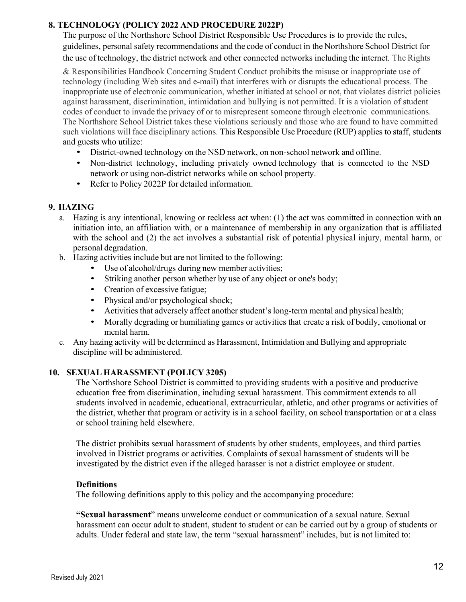#### **8. TECHNOLOGY (POLICY 2022 AND PROCEDURE 2022P)**

The purpose of the Northshore School District Responsible Use Procedures is to provide the rules, guidelines, personal safety recommendations and the code of conduct in the Northshore School District for the use of technology, the district network and other connected networks including the internet. The Rights

& Responsibilities Handbook Concerning Student Conduct prohibits the misuse or inappropriate use of technology (including Web sites and e-mail) that interferes with or disrupts the educational process. The inappropriate use of electronic communication, whether initiated at school or not, that violates district policies against harassment, discrimination, intimidation and bullying is not permitted. It is a violation of student codes of conduct to invade the privacy of or to misrepresent someone through electronic communications. The Northshore School District takes these violations seriously and those who are found to have committed such violations will face disciplinary actions. This Responsible Use Procedure (RUP) applies to staff, students and guests who utilize:

- District-owned technology on the NSD network, on non-school network and offline.
- Non-district technology, including privately owned technology that is connected to the NSD network or using non-district networks while on school property.
- Refer to Policy 2022P for detailed information.

#### **9. HAZING**

- a. Hazing is any intentional, knowing or reckless act when: (1) the act was committed in connection with an initiation into, an affiliation with, or a maintenance of membership in any organization that is affiliated with the school and (2) the act involves a substantial risk of potential physical injury, mental harm, or personal degradation.
- b. Hazing activities include but are not limited to the following:
	- Use of alcohol/drugs during new member activities;
	- Striking another person whether by use of any object or one's body;
	- Creation of excessive fatigue;
	- Physical and/or psychological shock;
	- Activities that adversely affect another student's long-term mental and physical health;
	- Morally degrading or humiliating games or activities that create a risk of bodily, emotional or mental harm.
- c. Any hazing activity will be determined as Harassment, Intimidation and Bullying and appropriate discipline will be administered.

#### **10. SEXUAL HARASSMENT (POLICY 3205)**

The Northshore School District is committed to providing students with a positive and productive education free from discrimination, including sexual harassment. This commitment extends to all students involved in academic, educational, extracurricular, athletic, and other programs or activities of the district, whether that program or activity is in a school facility, on school transportation or at a class or school training held elsewhere.

The district prohibits sexual harassment of students by other students, employees, and third parties involved in District programs or activities. Complaints of sexual harassment of students will be investigated by the district even if the alleged harasser is not a district employee or student.

#### **Definitions**

The following definitions apply to this policy and the accompanying procedure:

**"Sexual harassment**" means unwelcome conduct or communication of a sexual nature. Sexual harassment can occur adult to student, student to student or can be carried out by a group of students or adults. Under federal and state law, the term "sexual harassment" includes, but is not limited to: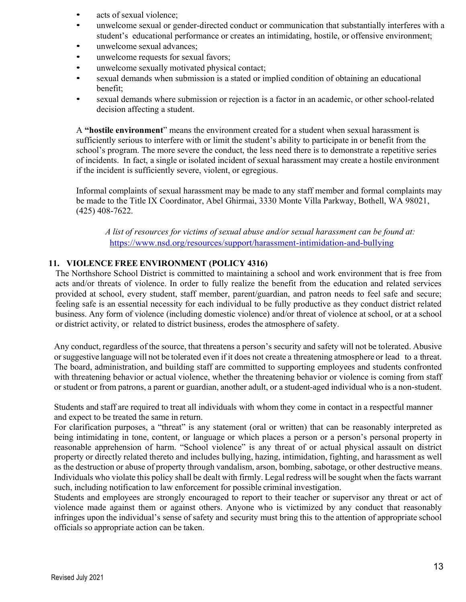- acts of sexual violence;
- unwelcome sexual or gender-directed conduct or communication that substantially interferes with a student's educational performance or creates an intimidating, hostile, or offensive environment;
- unwelcome sexual advances;
- unwelcome requests for sexual favors;
- unwelcome sexually motivated physical contact;
- sexual demands when submission is a stated or implied condition of obtaining an educational benefit;
- sexual demands where submission or rejection is a factor in an academic, or other school-related decision affecting a student.

A **"hostile environment**" means the environment created for a student when sexual harassment is sufficiently serious to interfere with or limit the student's ability to participate in or benefit from the school's program. The more severe the conduct, the less need there is to demonstrate a repetitive series of incidents. In fact, a single or isolated incident of sexual harassment may create a hostile environment if the incident is sufficiently severe, violent, or egregious.

Informal complaints of sexual harassment may be made to any staff member and formal complaints may be made to the Title IX Coordinator, Abel Ghirmai, 3330 Monte Villa Parkway, Bothell, WA 98021, (425) 408-7622.

*A list of resources for victims of sexual abuse and/or sexual harassment can be found at:* https://www.nsd.org/resources/support/harassment-intimidation-and-bullying

#### **11. VIOLENCE FREE ENVIRONMENT (POLICY 4316)**

The Northshore School District is committed to maintaining a school and work environment that is free from acts and/or threats of violence. In order to fully realize the benefit from the education and related services provided at school, every student, staff member, parent/guardian, and patron needs to feel safe and secure; feeling safe is an essential necessity for each individual to be fully productive as they conduct district related business. Any form of violence (including domestic violence) and/or threat of violence at school, or at a school or district activity, or related to district business, erodes the atmosphere of safety.

Any conduct, regardless of the source, that threatens a person's security and safety will not be tolerated. Abusive orsuggestive language will not be tolerated even if it does not create a threatening atmosphere or lead to a threat. The board, administration, and building staff are committed to supporting employees and students confronted with threatening behavior or actual violence, whether the threatening behavior or violence is coming from staff or student or from patrons, a parent or guardian, another adult, or a student-aged individual who is a non-student.

Students and staff are required to treat all individuals with whom they come in contact in a respectful manner and expect to be treated the same in return.

For clarification purposes, a "threat" is any statement (oral or written) that can be reasonably interpreted as being intimidating in tone, content, or language or which places a person or a person's personal property in reasonable apprehension of harm. "School violence" is any threat of or actual physical assault on district property or directly related thereto and includes bullying, hazing, intimidation, fighting, and harassment as well as the destruction or abuse of property through vandalism, arson, bombing, sabotage, or other destructive means. Individuals who violate this policy shall be dealt with firmly. Legal redress will be sought when the facts warrant such, including notification to law enforcement for possible criminal investigation.

Students and employees are strongly encouraged to report to their teacher or supervisor any threat or act of violence made against them or against others. Anyone who is victimized by any conduct that reasonably infringes upon the individual's sense of safety and security must bring this to the attention of appropriate school officials so appropriate action can be taken.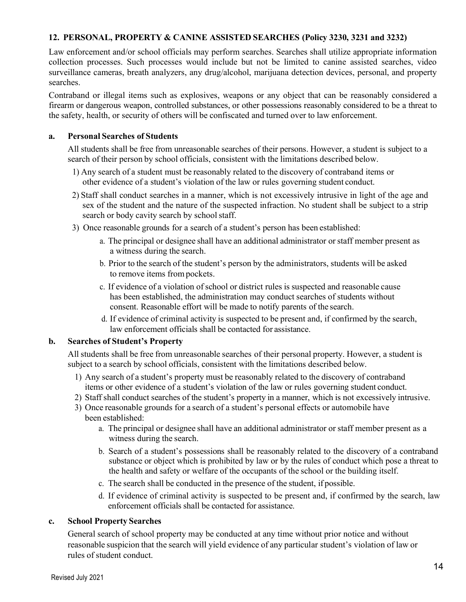#### **12. PERSONAL, PROPERTY & CANINE ASSISTED SEARCHES (Policy 3230, 3231 and 3232)**

Law enforcement and/or school officials may perform searches. Searches shall utilize appropriate information collection processes. Such processes would include but not be limited to canine assisted searches, video surveillance cameras, breath analyzers, any drug/alcohol, marijuana detection devices, personal, and property searches.

Contraband or illegal items such as explosives, weapons or any object that can be reasonably considered a firearm or dangerous weapon, controlled substances, or other possessions reasonably considered to be a threat to the safety, health, or security of others will be confiscated and turned over to law enforcement.

#### **a. Personal Searches of Students**

All students shall be free from unreasonable searches of their persons. However, a student is subject to a search of their person by school officials, consistent with the limitations described below.

- 1) Any search of a student must be reasonably related to the discovery of contraband items or other evidence of a student's violation of the law or rules governing student conduct.
- 2) Staff shall conduct searches in a manner, which is not excessively intrusive in light of the age and sex of the student and the nature of the suspected infraction. No student shall be subject to a strip search or body cavity search by school staff.
- 3) Once reasonable grounds for a search of a student's person has been established:
	- a. The principal or designee shall have an additional administrator orstaff member present as a witness during the search.
	- b. Prior to the search of the student's person by the administrators, students will be asked to remove items from pockets.
	- c. If evidence of a violation ofschool or district rules is suspected and reasonable cause has been established, the administration may conduct searches of students without consent. Reasonable effort will be made to notify parents of the search.
	- d. If evidence of criminal activity is suspected to be present and, if confirmed by the search, law enforcement officials shall be contacted for assistance.

#### **b. Searches of Student's Property**

All students shall be free from unreasonable searches of their personal property. However, a student is subject to a search by school officials, consistent with the limitations described below.

- 1) Any search of a student's property must be reasonably related to the discovery of contraband items or other evidence of a student's violation of the law or rules governing student conduct.
- 2) Staff shall conduct searches of the student's property in a manner, which is not excessively intrusive.
- 3) Once reasonable grounds for a search of a student's personal effects or automobile have been established:
	- a. The principal or designee shall have an additional administrator or staff member present as a witness during the search.
	- b. Search of a student's possessions shall be reasonably related to the discovery of a contraband substance or object which is prohibited by law or by the rules of conduct which pose a threat to the health and safety or welfare of the occupants of the school or the building itself.
	- c. The search shall be conducted in the presence of the student, if possible.
	- d. If evidence of criminal activity is suspected to be present and, if confirmed by the search, law enforcement officials shall be contacted for assistance.

#### **c. School Property Searches**

General search of school property may be conducted at any time without prior notice and without reasonable suspicion that the search will yield evidence of any particular student's violation of law or rules of student conduct.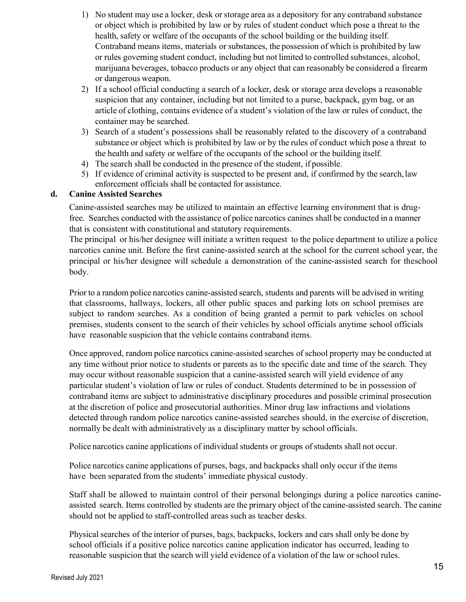- 1) No student may use a locker, desk or storage area as a depository for any contraband substance or object which is prohibited by law or by rules of student conduct which pose a threat to the health, safety or welfare of the occupants of the school building or the building itself. Contraband means items, materials or substances, the possession of which is prohibited by law or rules governing student conduct, including but not limited to controlled substances, alcohol, marijuana beverages, tobacco products or any object that can reasonably be considered a firearm or dangerous weapon.
- 2) If a school official conducting a search of a locker, desk or storage area develops a reasonable suspicion that any container, including but not limited to a purse, backpack, gym bag, or an article of clothing, contains evidence of a student's violation of the law or rules of conduct, the container may be searched.
- 3) Search of a student's possessions shall be reasonably related to the discovery of a contraband substance or object which is prohibited by law or by the rules of conduct which pose a threat to the health and safety or welfare of the occupants of the school or the building itself.
- 4) The search shall be conducted in the presence of the student, if possible.
- 5) If evidence of criminal activity is suspected to be present and, if confirmed by the search, law enforcement officials shall be contacted for assistance.

#### **d. Canine Assisted Searches**

Canine-assisted searches may be utilized to maintain an effective learning environment that is drugfree. Searches conducted with the assistance of police narcotics canines shall be conducted in a manner that is consistent with constitutional and statutory requirements.

The principal or his/her designee will initiate a written request to the police department to utilize a police narcotics canine unit. Before the first canine-assisted search at the school for the current school year, the principal or his/her designee will schedule a demonstration of the canine-assisted search for theschool body.

Prior to a random police narcotics canine-assisted search, students and parents will be advised in writing that classrooms, hallways, lockers, all other public spaces and parking lots on school premises are subject to random searches. As a condition of being granted a permit to park vehicles on school premises, students consent to the search of their vehicles by school officials anytime school officials have reasonable suspicion that the vehicle contains contraband items.

Once approved, random police narcotics canine-assisted searches ofschool property may be conducted at any time without prior notice to students or parents as to the specific date and time of the search. They may occur without reasonable suspicion that a canine-assisted search will yield evidence of any particular student's violation of law or rules of conduct. Students determined to be in possession of contraband items are subject to administrative disciplinary procedures and possible criminal prosecution at the discretion of police and prosecutorial authorities. Minor drug law infractions and violations detected through random police narcotics canine-assisted searches should, in the exercise of discretion, normally be dealt with administratively as a disciplinary matter by school officials.

Police narcotics canine applications of individual students or groups of students shall not occur.

Police narcotics canine applications of purses, bags, and backpacks shall only occur if the items have been separated from the students' immediate physical custody.

Staff shall be allowed to maintain control of their personal belongings during a police narcotics canineassisted search. Items controlled by students are the primary object of the canine-assisted search. The canine should not be applied to staff-controlled areas such as teacher desks.

Physical searches of the interior of purses, bags, backpacks, lockers and cars shall only be done by school officials if a positive police narcotics canine application indicator has occurred, leading to reasonable suspicion that the search will yield evidence of a violation of the law or school rules.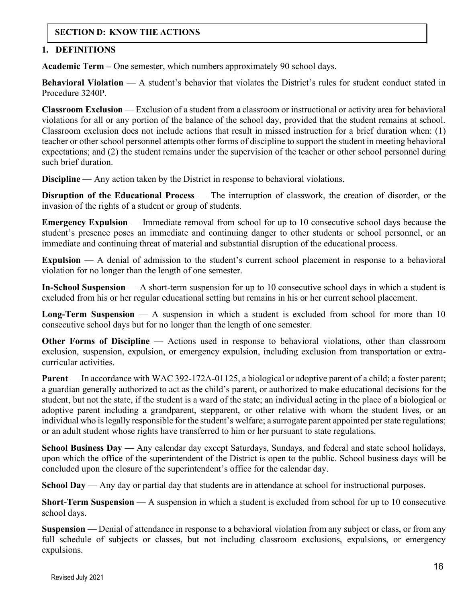#### **SECTION D: KNOW THE ACTIONS**

#### **1. DEFINITIONS**

**Academic Term –** One semester, which numbers approximately 90 school days.

**Behavioral Violation** — A student's behavior that violates the District's rules for student conduct stated in Procedure 3240P.

**Classroom Exclusion** — Exclusion of a student from a classroom or instructional or activity area for behavioral violations for all or any portion of the balance of the school day, provided that the student remains at school. Classroom exclusion does not include actions that result in missed instruction for a brief duration when: (1) teacher or other school personnel attempts other forms of discipline to support the student in meeting behavioral expectations; and (2) the student remains under the supervision of the teacher or other school personnel during such brief duration.

**Discipline** — Any action taken by the District in response to behavioral violations.

**Disruption of the Educational Process** — The interruption of classwork, the creation of disorder, or the invasion of the rights of a student or group of students.

**Emergency Expulsion** — Immediate removal from school for up to 10 consecutive school days because the student's presence poses an immediate and continuing danger to other students or school personnel, or an immediate and continuing threat of material and substantial disruption of the educational process.

**Expulsion** — A denial of admission to the student's current school placement in response to a behavioral violation for no longer than the length of one semester.

**In-School Suspension** — A short-term suspension for up to 10 consecutive school days in which a student is excluded from his or her regular educational setting but remains in his or her current school placement.

**Long-Term Suspension** — A suspension in which a student is excluded from school for more than 10 consecutive school days but for no longer than the length of one semester.

**Other Forms of Discipline** — Actions used in response to behavioral violations, other than classroom exclusion, suspension, expulsion, or emergency expulsion, including exclusion from transportation or extracurricular activities.

**Parent** — In accordance with WAC 392-172A-01125, a biological or adoptive parent of a child; a foster parent; a guardian generally authorized to act as the child's parent, or authorized to make educational decisions for the student, but not the state, if the student is a ward of the state; an individual acting in the place of a biological or adoptive parent including a grandparent, stepparent, or other relative with whom the student lives, or an individual who is legally responsible for the student's welfare; a surrogate parent appointed per state regulations; or an adult student whose rights have transferred to him or her pursuant to state regulations.

**School Business Day** — Any calendar day except Saturdays, Sundays, and federal and state school holidays, upon which the office of the superintendent of the District is open to the public. School business days will be concluded upon the closure of the superintendent's office for the calendar day.

**School Day** — Any day or partial day that students are in attendance at school for instructional purposes.

**Short-Term Suspension** — A suspension in which a student is excluded from school for up to 10 consecutive school days.

**Suspension** — Denial of attendance in response to a behavioral violation from any subject or class, or from any full schedule of subjects or classes, but not including classroom exclusions, expulsions, or emergency expulsions.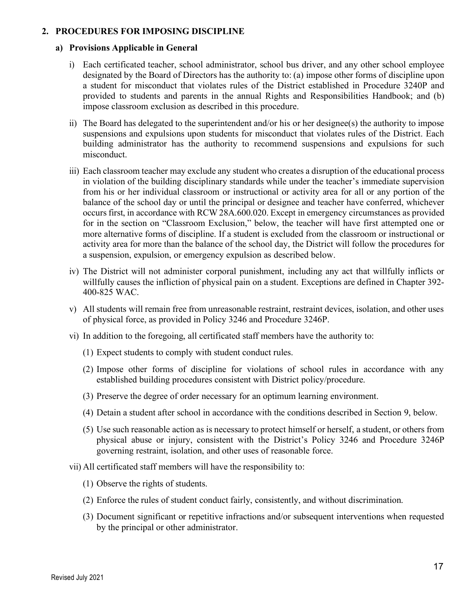#### **2. PROCEDURES FOR IMPOSING DISCIPLINE**

#### **a) Provisions Applicable in General**

- i) Each certificated teacher, school administrator, school bus driver, and any other school employee designated by the Board of Directors has the authority to: (a) impose other forms of discipline upon a student for misconduct that violates rules of the District established in Procedure 3240P and provided to students and parents in the annual Rights and Responsibilities Handbook; and (b) impose classroom exclusion as described in this procedure.
- ii) The Board has delegated to the superintendent and/or his or her designee(s) the authority to impose suspensions and expulsions upon students for misconduct that violates rules of the District. Each building administrator has the authority to recommend suspensions and expulsions for such misconduct.
- iii) Each classroom teacher may exclude any student who creates a disruption of the educational process in violation of the building disciplinary standards while under the teacher's immediate supervision from his or her individual classroom or instructional or activity area for all or any portion of the balance of the school day or until the principal or designee and teacher have conferred, whichever occursfirst, in accordance with RCW 28A.600.020. Except in emergency circumstances as provided for in the section on "Classroom Exclusion," below, the teacher will have first attempted one or more alternative forms of discipline. If a student is excluded from the classroom or instructional or activity area for more than the balance of the school day, the District will follow the procedures for a suspension, expulsion, or emergency expulsion as described below.
- iv) The District will not administer corporal punishment, including any act that willfully inflicts or willfully causes the infliction of physical pain on a student. Exceptions are defined in Chapter 392- 400-825 WAC.
- v) All students will remain free from unreasonable restraint, restraint devices, isolation, and other uses of physical force, as provided in Policy 3246 and Procedure 3246P.
- vi) In addition to the foregoing, all certificated staff members have the authority to:
	- (1) Expect students to comply with student conduct rules.
	- (2) Impose other forms of discipline for violations of school rules in accordance with any established building procedures consistent with District policy/procedure.
	- (3) Preserve the degree of order necessary for an optimum learning environment.
	- (4) Detain a student after school in accordance with the conditions described in Section 9, below.
	- (5) Use such reasonable action as is necessary to protect himself or herself, a student, or others from physical abuse or injury, consistent with the District's Policy 3246 and Procedure 3246P governing restraint, isolation, and other uses of reasonable force.
- vii) All certificated staff members will have the responsibility to:
	- (1) Observe the rights of students.
	- (2) Enforce the rules of student conduct fairly, consistently, and without discrimination.
	- (3) Document significant or repetitive infractions and/or subsequent interventions when requested by the principal or other administrator.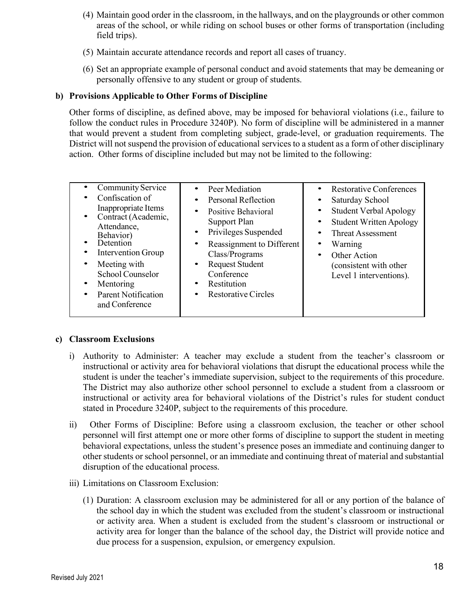- (4) Maintain good order in the classroom, in the hallways, and on the playgrounds or other common areas of the school, or while riding on school buses or other forms of transportation (including field trips).
- (5) Maintain accurate attendance records and report all cases of truancy.
- (6) Set an appropriate example of personal conduct and avoid statements that may be demeaning or personally offensive to any student or group of students.

#### **b) Provisions Applicable to Other Forms of Discipline**

Other forms of discipline, as defined above, may be imposed for behavioral violations (i.e., failure to follow the conduct rules in Procedure 3240P). No form of discipline will be administered in a manner that would prevent a student from completing subject, grade-level, or graduation requirements. The District will not suspend the provision of educational services to a student as a form of other disciplinary action. Other forms of discipline included but may not be limited to the following:

| <b>Community Service</b><br>Confiscation of<br>Inappropriate Items<br>Contract (Academic,<br>$\bullet$<br>Attendance,<br>Behavior)<br>Detention<br><b>Intervention Group</b><br>Meeting with<br>٠<br><b>School Counselor</b><br>Mentoring<br>٠<br><b>Parent Notification</b><br>٠<br>and Conference | Peer Mediation<br>Personal Reflection<br>Positive Behavioral<br>٠<br>Support Plan<br>Privileges Suspended<br>$\bullet$<br>Reassignment to Different<br>Class/Programs<br><b>Request Student</b><br>$\bullet$<br>Conference<br>Restitution<br><b>Restorative Circles</b> | <b>Restorative Conferences</b><br>Saturday School<br><b>Student Verbal Apology</b><br>٠<br><b>Student Written Apology</b><br><b>Threat Assessment</b><br>Warning<br>Other Action<br>٠<br>(consistent with other<br>Level 1 interventions). |
|-----------------------------------------------------------------------------------------------------------------------------------------------------------------------------------------------------------------------------------------------------------------------------------------------------|-------------------------------------------------------------------------------------------------------------------------------------------------------------------------------------------------------------------------------------------------------------------------|--------------------------------------------------------------------------------------------------------------------------------------------------------------------------------------------------------------------------------------------|
|-----------------------------------------------------------------------------------------------------------------------------------------------------------------------------------------------------------------------------------------------------------------------------------------------------|-------------------------------------------------------------------------------------------------------------------------------------------------------------------------------------------------------------------------------------------------------------------------|--------------------------------------------------------------------------------------------------------------------------------------------------------------------------------------------------------------------------------------------|

#### **c) Classroom Exclusions**

- i) Authority to Administer: A teacher may exclude a student from the teacher's classroom or instructional or activity area for behavioral violations that disrupt the educational process while the student is under the teacher's immediate supervision, subject to the requirements of this procedure. The District may also authorize other school personnel to exclude a student from a classroom or instructional or activity area for behavioral violations of the District's rules for student conduct stated in Procedure 3240P, subject to the requirements of this procedure.
- ii) Other Forms of Discipline: Before using a classroom exclusion, the teacher or other school personnel will first attempt one or more other forms of discipline to support the student in meeting behavioral expectations, unless the student's presence poses an immediate and continuing danger to other students or school personnel, or an immediate and continuing threat of material and substantial disruption of the educational process.
- iii) Limitations on Classroom Exclusion:
	- (1) Duration: A classroom exclusion may be administered for all or any portion of the balance of the school day in which the student was excluded from the student's classroom or instructional or activity area. When a student is excluded from the student's classroom or instructional or activity area for longer than the balance of the school day, the District will provide notice and due process for a suspension, expulsion, or emergency expulsion.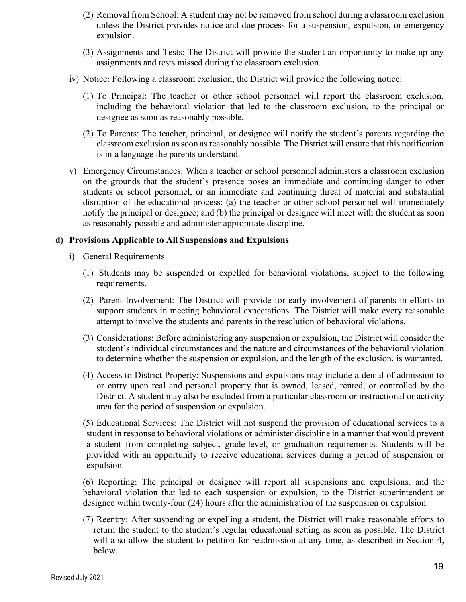- (2) Removal from School: A student may not be removed from school during a classroom exclusion unless the District provides notice and due process for a suspension, expulsion, or emergency expulsion.
- (3) Assignments and Tests: The District will provide the student an opportunity to make up any assignments and tests missed during the classroom exclusion.
- iv) Notice: Following a classroom exclusion, the District will provide the following notice:
	- (1) To Principal: The teacher or other school personnel will report the classroom exclusion, including the behavioral violation that led to the classroom exclusion, to the principal or designee as soon as reasonably possible.
	- (2) To Parents: The teacher, principal, or designee will notify the student's parents regarding the classroom exclusion assoon asreasonably possible. The District will ensure that this notification is in a language the parents understand.
- v) Emergency Circumstances: When a teacher or school personnel administers a classroom exclusion on the grounds that the student's presence poses an immediate and continuing danger to other students or school personnel, or an immediate and continuing threat of material and substantial disruption of the educational process: (a) the teacher or other school personnel will immediately notify the principal or designee; and (b) the principal or designee will meet with the student as soon as reasonably possible and administer appropriate discipline.

#### **d) Provisions Applicable to All Suspensions and Expulsions**

- i) General Requirements
	- (1) Students may be suspended or expelled for behavioral violations, subject to the following requirements.
	- (2) Parent Involvement: The District will provide for early involvement of parents in efforts to support students in meeting behavioral expectations. The District will make every reasonable attempt to involve the students and parents in the resolution of behavioral violations.
	- (3) Considerations: Before administering any suspension or expulsion, the District will consider the student's individual circumstances and the nature and circumstances of the behavioral violation to determine whether the suspension or expulsion, and the length of the exclusion, is warranted.
	- (4) Access to District Property: Suspensions and expulsions may include a denial of admission to or entry upon real and personal property that is owned, leased, rented, or controlled by the District. A student may also be excluded from a particular classroom or instructional or activity area for the period of suspension or expulsion.

(5) Educational Services: The District will not suspend the provision of educational services to a student in response to behavioral violations or administer discipline in a manner that would prevent a student from completing subject, grade-level, or graduation requirements. Students will be provided with an opportunity to receive educational services during a period of suspension or expulsion.

(6) Reporting: The principal or designee will report all suspensions and expulsions, and the behavioral violation that led to each suspension or expulsion, to the District superintendent or designee within twenty-four (24) hours after the administration of the suspension or expulsion.

(7) Reentry: After suspending or expelling a student, the District will make reasonable efforts to return the student to the student's regular educational setting as soon as possible. The District will also allow the student to petition for readmission at any time, as described in Section 4, below.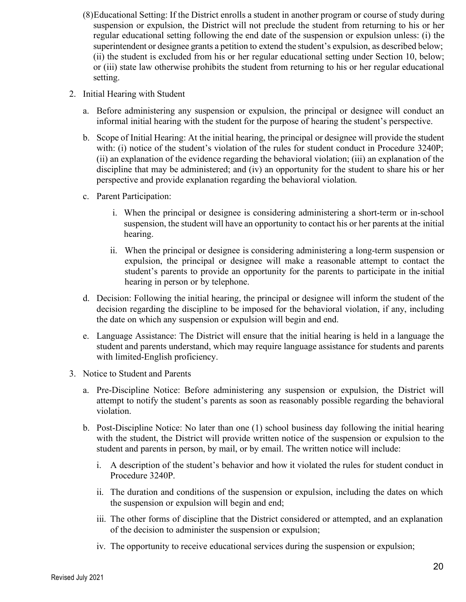- (8)Educational Setting: If the District enrolls a student in another program or course of study during suspension or expulsion, the District will not preclude the student from returning to his or her regular educational setting following the end date of the suspension or expulsion unless: (i) the superintendent or designee grants a petition to extend the student's expulsion, as described below; (ii) the student is excluded from his or her regular educational setting under Section 10, below; or (iii) state law otherwise prohibits the student from returning to his or her regular educational setting.
- 2. Initial Hearing with Student
	- a. Before administering any suspension or expulsion, the principal or designee will conduct an informal initial hearing with the student for the purpose of hearing the student's perspective.
	- b. Scope of Initial Hearing: At the initial hearing, the principal or designee will provide the student with: (i) notice of the student's violation of the rules for student conduct in Procedure 3240P; (ii) an explanation of the evidence regarding the behavioral violation; (iii) an explanation of the discipline that may be administered; and (iv) an opportunity for the student to share his or her perspective and provide explanation regarding the behavioral violation.
	- c. Parent Participation:
		- i. When the principal or designee is considering administering a short-term or in-school suspension, the student will have an opportunity to contact his or her parents at the initial hearing.
		- ii. When the principal or designee is considering administering a long-term suspension or expulsion, the principal or designee will make a reasonable attempt to contact the student's parents to provide an opportunity for the parents to participate in the initial hearing in person or by telephone.
	- d. Decision: Following the initial hearing, the principal or designee will inform the student of the decision regarding the discipline to be imposed for the behavioral violation, if any, including the date on which any suspension or expulsion will begin and end.
	- e. Language Assistance: The District will ensure that the initial hearing is held in a language the student and parents understand, which may require language assistance for students and parents with limited-English proficiency.
- 3. Notice to Student and Parents
	- a. Pre-Discipline Notice: Before administering any suspension or expulsion, the District will attempt to notify the student's parents as soon as reasonably possible regarding the behavioral violation.
	- b. Post-Discipline Notice: No later than one (1) school business day following the initial hearing with the student, the District will provide written notice of the suspension or expulsion to the student and parents in person, by mail, or by email. The written notice will include:
		- i. A description of the student's behavior and how it violated the rules for student conduct in Procedure 3240P.
		- ii. The duration and conditions of the suspension or expulsion, including the dates on which the suspension or expulsion will begin and end;
		- iii. The other forms of discipline that the District considered or attempted, and an explanation of the decision to administer the suspension or expulsion;
		- iv. The opportunity to receive educational services during the suspension or expulsion;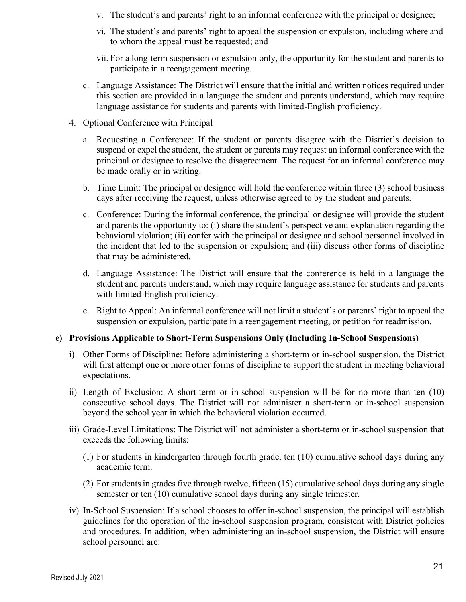- v. The student's and parents' right to an informal conference with the principal or designee;
- vi. The student's and parents' right to appeal the suspension or expulsion, including where and to whom the appeal must be requested; and
- vii. For a long-term suspension or expulsion only, the opportunity for the student and parents to participate in a reengagement meeting.
- c. Language Assistance: The District will ensure that the initial and written notices required under this section are provided in a language the student and parents understand, which may require language assistance for students and parents with limited-English proficiency.
- 4. Optional Conference with Principal
	- a. Requesting a Conference: If the student or parents disagree with the District's decision to suspend or expel the student, the student or parents may request an informal conference with the principal or designee to resolve the disagreement. The request for an informal conference may be made orally or in writing.
	- b. Time Limit: The principal or designee will hold the conference within three (3) school business days after receiving the request, unless otherwise agreed to by the student and parents.
	- c. Conference: During the informal conference, the principal or designee will provide the student and parents the opportunity to: (i) share the student's perspective and explanation regarding the behavioral violation; (ii) confer with the principal or designee and school personnel involved in the incident that led to the suspension or expulsion; and (iii) discuss other forms of discipline that may be administered.
	- d. Language Assistance: The District will ensure that the conference is held in a language the student and parents understand, which may require language assistance for students and parents with limited-English proficiency.
	- e. Right to Appeal: An informal conference will not limit a student's or parents' right to appeal the suspension or expulsion, participate in a reengagement meeting, or petition for readmission.

#### **e) Provisions Applicable to Short-Term Suspensions Only (Including In-School Suspensions)**

- i) Other Forms of Discipline: Before administering a short-term or in-school suspension, the District will first attempt one or more other forms of discipline to support the student in meeting behavioral expectations.
- ii) Length of Exclusion: A short-term or in-school suspension will be for no more than ten (10) consecutive school days. The District will not administer a short-term or in-school suspension beyond the school year in which the behavioral violation occurred.
- iii) Grade-Level Limitations: The District will not administer a short-term or in-school suspension that exceeds the following limits:
	- (1) For students in kindergarten through fourth grade, ten (10) cumulative school days during any academic term.
	- (2) For students in grades five through twelve, fifteen  $(15)$  cumulative school days during any single semester or ten (10) cumulative school days during any single trimester.
- iv) In-School Suspension: If a school chooses to offer in-school suspension, the principal will establish guidelines for the operation of the in-school suspension program, consistent with District policies and procedures. In addition, when administering an in-school suspension, the District will ensure school personnel are: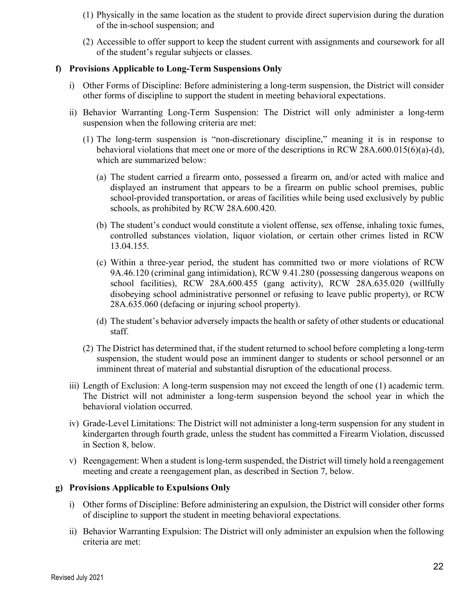- (1) Physically in the same location as the student to provide direct supervision during the duration of the in-school suspension; and
- (2) Accessible to offer support to keep the student current with assignments and coursework for all of the student's regular subjects or classes.

#### **f) Provisions Applicable to Long-Term Suspensions Only**

- i) Other Forms of Discipline: Before administering a long-term suspension, the District will consider other forms of discipline to support the student in meeting behavioral expectations.
- ii) Behavior Warranting Long-Term Suspension: The District will only administer a long-term suspension when the following criteria are met:
	- (1) The long-term suspension is "non-discretionary discipline," meaning it is in response to behavioral violations that meet one or more of the descriptions in RCW 28A.600.015(6)(a)-(d), which are summarized below:
		- (a) The student carried a firearm onto, possessed a firearm on, and/or acted with malice and displayed an instrument that appears to be a firearm on public school premises, public school-provided transportation, or areas of facilities while being used exclusively by public schools, as prohibited by RCW 28A.600.420.
		- (b) The student's conduct would constitute a violent offense, sex offense, inhaling toxic fumes, controlled substances violation, liquor violation, or certain other crimes listed in RCW 13.04.155.
		- (c) Within a three-year period, the student has committed two or more violations of RCW 9A.46.120 (criminal gang intimidation), RCW 9.41.280 (possessing dangerous weapons on school facilities), RCW 28A.600.455 (gang activity), RCW 28A.635.020 (willfully disobeying school administrative personnel or refusing to leave public property), or RCW 28A.635.060 (defacing or injuring school property).
		- (d) The student's behavior adversely impacts the health or safety of other students or educational staff.
	- (2) The District has determined that, if the student returned to school before completing a long-term suspension, the student would pose an imminent danger to students or school personnel or an imminent threat of material and substantial disruption of the educational process.
- iii) Length of Exclusion: A long-term suspension may not exceed the length of one (1) academic term. The District will not administer a long-term suspension beyond the school year in which the behavioral violation occurred.
- iv) Grade-Level Limitations: The District will not administer a long-term suspension for any student in kindergarten through fourth grade, unless the student has committed a Firearm Violation, discussed in Section 8, below.
- v) Reengagement: When a student islong-term suspended, the District will timely hold a reengagement meeting and create a reengagement plan, as described in Section 7, below.

#### **g) Provisions Applicable to Expulsions Only**

- i) Other forms of Discipline: Before administering an expulsion, the District will consider other forms of discipline to support the student in meeting behavioral expectations.
- ii) Behavior Warranting Expulsion: The District will only administer an expulsion when the following criteria are met: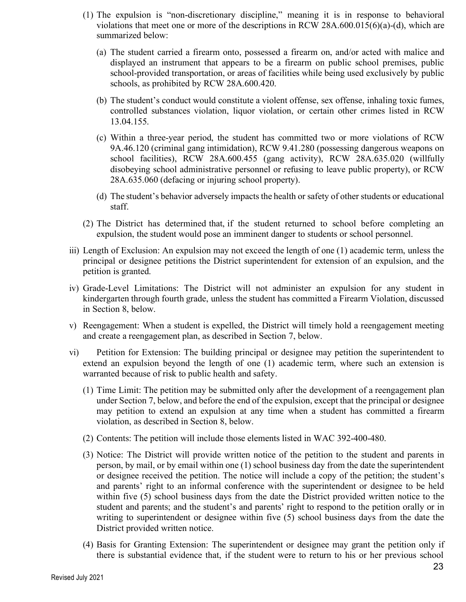- (1) The expulsion is "non-discretionary discipline," meaning it is in response to behavioral violations that meet one or more of the descriptions in RCW 28A.600.015(6)(a)-(d), which are summarized below:
	- (a) The student carried a firearm onto, possessed a firearm on, and/or acted with malice and displayed an instrument that appears to be a firearm on public school premises, public school-provided transportation, or areas of facilities while being used exclusively by public schools, as prohibited by RCW 28A.600.420.
	- (b) The student's conduct would constitute a violent offense, sex offense, inhaling toxic fumes, controlled substances violation, liquor violation, or certain other crimes listed in RCW 13.04.155.
	- (c) Within a three-year period, the student has committed two or more violations of RCW 9A.46.120 (criminal gang intimidation), RCW 9.41.280 (possessing dangerous weapons on school facilities), RCW 28A.600.455 (gang activity), RCW 28A.635.020 (willfully disobeying school administrative personnel or refusing to leave public property), or RCW 28A.635.060 (defacing or injuring school property).
	- (d) The student's behavior adversely impacts the health or safety of other students or educational staff.
- (2) The District has determined that, if the student returned to school before completing an expulsion, the student would pose an imminent danger to students or school personnel.
- iii) Length of Exclusion: An expulsion may not exceed the length of one (1) academic term, unless the principal or designee petitions the District superintendent for extension of an expulsion, and the petition is granted.
- iv) Grade-Level Limitations: The District will not administer an expulsion for any student in kindergarten through fourth grade, unless the student has committed a Firearm Violation, discussed in Section 8, below.
- v) Reengagement: When a student is expelled, the District will timely hold a reengagement meeting and create a reengagement plan, as described in Section 7, below.
- vi) Petition for Extension: The building principal or designee may petition the superintendent to extend an expulsion beyond the length of one (1) academic term, where such an extension is warranted because of risk to public health and safety.
	- (1) Time Limit: The petition may be submitted only after the development of a reengagement plan under Section 7, below, and before the end of the expulsion, except that the principal or designee may petition to extend an expulsion at any time when a student has committed a firearm violation, as described in Section 8, below.
	- (2) Contents: The petition will include those elements listed in WAC 392-400-480.
	- (3) Notice: The District will provide written notice of the petition to the student and parents in person, by mail, or by email within one (1) school business day from the date the superintendent or designee received the petition. The notice will include a copy of the petition; the student's and parents' right to an informal conference with the superintendent or designee to be held within five (5) school business days from the date the District provided written notice to the student and parents; and the student's and parents' right to respond to the petition orally or in writing to superintendent or designee within five (5) school business days from the date the District provided written notice.
	- (4) Basis for Granting Extension: The superintendent or designee may grant the petition only if there is substantial evidence that, if the student were to return to his or her previous school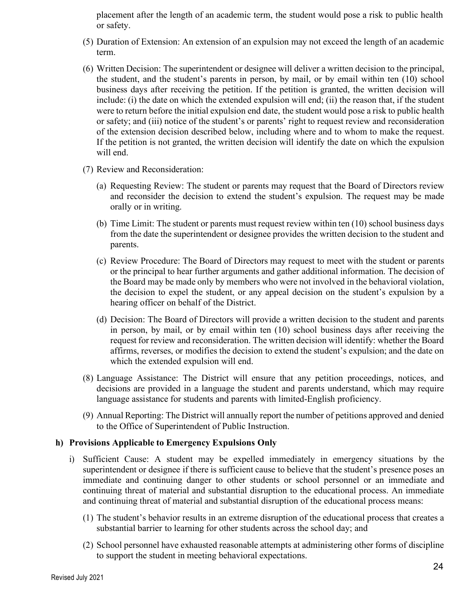placement after the length of an academic term, the student would pose a risk to public health or safety.

- (5) Duration of Extension: An extension of an expulsion may not exceed the length of an academic term.
- (6) Written Decision: The superintendent or designee will deliver a written decision to the principal, the student, and the student's parents in person, by mail, or by email within ten (10) school business days after receiving the petition. If the petition is granted, the written decision will include: (i) the date on which the extended expulsion will end; (ii) the reason that, if the student were to return before the initial expulsion end date, the student would pose a risk to public health or safety; and (iii) notice of the student's or parents' right to request review and reconsideration of the extension decision described below, including where and to whom to make the request. If the petition is not granted, the written decision will identify the date on which the expulsion will end.
- (7) Review and Reconsideration:
	- (a) Requesting Review: The student or parents may request that the Board of Directors review and reconsider the decision to extend the student's expulsion. The request may be made orally or in writing.
	- (b) Time Limit: The student or parents must request review within ten (10) school business days from the date the superintendent or designee provides the written decision to the student and parents.
	- (c) Review Procedure: The Board of Directors may request to meet with the student or parents or the principal to hear further arguments and gather additional information. The decision of the Board may be made only by members who were not involved in the behavioral violation, the decision to expel the student, or any appeal decision on the student's expulsion by a hearing officer on behalf of the District.
	- (d) Decision: The Board of Directors will provide a written decision to the student and parents in person, by mail, or by email within ten (10) school business days after receiving the request for review and reconsideration. The written decision will identify: whether the Board affirms, reverses, or modifies the decision to extend the student's expulsion; and the date on which the extended expulsion will end.
- (8) Language Assistance: The District will ensure that any petition proceedings, notices, and decisions are provided in a language the student and parents understand, which may require language assistance for students and parents with limited-English proficiency.
- (9) Annual Reporting: The District will annually report the number of petitions approved and denied to the Office of Superintendent of Public Instruction.

#### **h) Provisions Applicable to Emergency Expulsions Only**

- i) Sufficient Cause: A student may be expelled immediately in emergency situations by the superintendent or designee if there is sufficient cause to believe that the student's presence poses an immediate and continuing danger to other students or school personnel or an immediate and continuing threat of material and substantial disruption to the educational process. An immediate and continuing threat of material and substantial disruption of the educational process means:
	- (1) The student's behavior results in an extreme disruption of the educational process that creates a substantial barrier to learning for other students across the school day; and
	- (2) School personnel have exhausted reasonable attempts at administering other forms of discipline to support the student in meeting behavioral expectations.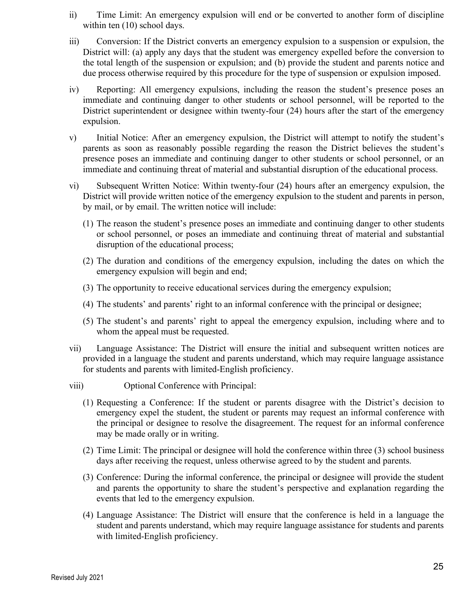- ii) Time Limit: An emergency expulsion will end or be converted to another form of discipline within ten  $(10)$  school days.
- iii) Conversion: If the District converts an emergency expulsion to a suspension or expulsion, the District will: (a) apply any days that the student was emergency expelled before the conversion to the total length of the suspension or expulsion; and (b) provide the student and parents notice and due process otherwise required by this procedure for the type of suspension or expulsion imposed.
- iv) Reporting: All emergency expulsions, including the reason the student's presence poses an immediate and continuing danger to other students or school personnel, will be reported to the District superintendent or designee within twenty-four (24) hours after the start of the emergency expulsion.
- v) Initial Notice: After an emergency expulsion, the District will attempt to notify the student's parents as soon as reasonably possible regarding the reason the District believes the student's presence poses an immediate and continuing danger to other students or school personnel, or an immediate and continuing threat of material and substantial disruption of the educational process.
- vi) Subsequent Written Notice: Within twenty-four (24) hours after an emergency expulsion, the District will provide written notice of the emergency expulsion to the student and parents in person, by mail, or by email. The written notice will include:
	- (1) The reason the student's presence poses an immediate and continuing danger to other students or school personnel, or poses an immediate and continuing threat of material and substantial disruption of the educational process;
	- (2) The duration and conditions of the emergency expulsion, including the dates on which the emergency expulsion will begin and end;
	- (3) The opportunity to receive educational services during the emergency expulsion;
	- (4) The students' and parents' right to an informal conference with the principal or designee;
	- (5) The student's and parents' right to appeal the emergency expulsion, including where and to whom the appeal must be requested.
- vii) Language Assistance: The District will ensure the initial and subsequent written notices are provided in a language the student and parents understand, which may require language assistance for students and parents with limited-English proficiency.
- viii) Optional Conference with Principal:
	- (1) Requesting a Conference: If the student or parents disagree with the District's decision to emergency expel the student, the student or parents may request an informal conference with the principal or designee to resolve the disagreement. The request for an informal conference may be made orally or in writing.
	- (2) Time Limit: The principal or designee will hold the conference within three (3) school business days after receiving the request, unless otherwise agreed to by the student and parents.
	- (3) Conference: During the informal conference, the principal or designee will provide the student and parents the opportunity to share the student's perspective and explanation regarding the events that led to the emergency expulsion.
	- (4) Language Assistance: The District will ensure that the conference is held in a language the student and parents understand, which may require language assistance for students and parents with limited-English proficiency.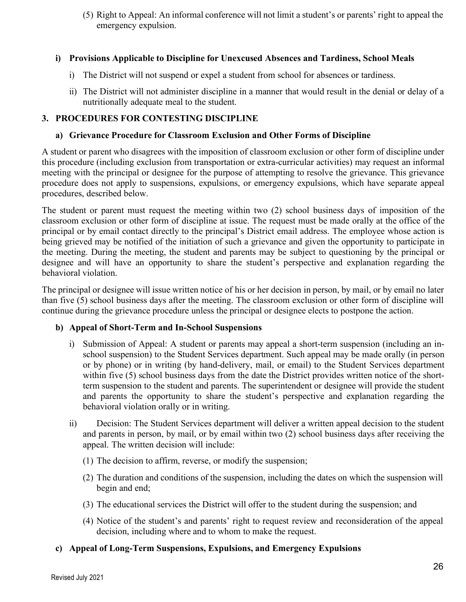(5) Right to Appeal: An informal conference will not limit a student's or parents' right to appeal the emergency expulsion.

#### **i) Provisions Applicable to Discipline for Unexcused Absences and Tardiness, School Meals**

- i) The District will not suspend or expel a student from school for absences or tardiness.
- ii) The District will not administer discipline in a manner that would result in the denial or delay of a nutritionally adequate meal to the student.

#### **3. PROCEDURES FOR CONTESTING DISCIPLINE**

#### **a) Grievance Procedure for Classroom Exclusion and Other Forms of Discipline**

A student or parent who disagrees with the imposition of classroom exclusion or other form of discipline under this procedure (including exclusion from transportation or extra-curricular activities) may request an informal meeting with the principal or designee for the purpose of attempting to resolve the grievance. This grievance procedure does not apply to suspensions, expulsions, or emergency expulsions, which have separate appeal procedures, described below.

The student or parent must request the meeting within two (2) school business days of imposition of the classroom exclusion or other form of discipline at issue. The request must be made orally at the office of the principal or by email contact directly to the principal's District email address. The employee whose action is being grieved may be notified of the initiation of such a grievance and given the opportunity to participate in the meeting. During the meeting, the student and parents may be subject to questioning by the principal or designee and will have an opportunity to share the student's perspective and explanation regarding the behavioral violation.

The principal or designee will issue written notice of his or her decision in person, by mail, or by email no later than five (5) school business days after the meeting. The classroom exclusion or other form of discipline will continue during the grievance procedure unless the principal or designee elects to postpone the action.

#### **b) Appeal of Short-Term and In-School Suspensions**

- i) Submission of Appeal: A student or parents may appeal a short-term suspension (including an inschool suspension) to the Student Services department. Such appeal may be made orally (in person or by phone) or in writing (by hand-delivery, mail, or email) to the Student Services department within five (5) school business days from the date the District provides written notice of the shortterm suspension to the student and parents. The superintendent or designee will provide the student and parents the opportunity to share the student's perspective and explanation regarding the behavioral violation orally or in writing.
- ii) Decision: The Student Services department will deliver a written appeal decision to the student and parents in person, by mail, or by email within two (2) school business days after receiving the appeal. The written decision will include:
	- (1) The decision to affirm, reverse, or modify the suspension;
	- (2) The duration and conditions of the suspension, including the dates on which the suspension will begin and end;
	- (3) The educational services the District will offer to the student during the suspension; and
	- (4) Notice of the student's and parents' right to request review and reconsideration of the appeal decision, including where and to whom to make the request.

#### **c) Appeal of Long-Term Suspensions, Expulsions, and Emergency Expulsions**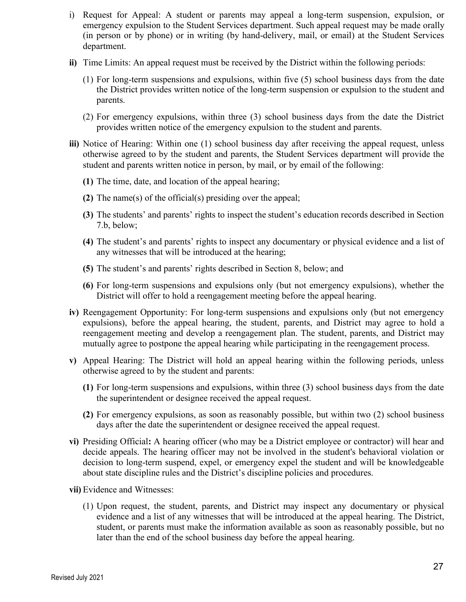- i) Request for Appeal: A student or parents may appeal a long-term suspension, expulsion, or emergency expulsion to the Student Services department. Such appeal request may be made orally (in person or by phone) or in writing (by hand-delivery, mail, or email) at the Student Services department.
- **ii)** Time Limits: An appeal request must be received by the District within the following periods:
	- (1) For long-term suspensions and expulsions, within five (5) school business days from the date the District provides written notice of the long-term suspension or expulsion to the student and parents.
	- (2) For emergency expulsions, within three (3) school business days from the date the District provides written notice of the emergency expulsion to the student and parents.
- **iii)** Notice of Hearing: Within one (1) school business day after receiving the appeal request, unless otherwise agreed to by the student and parents, the Student Services department will provide the student and parents written notice in person, by mail, or by email of the following:
	- **(1)** The time, date, and location of the appeal hearing;
	- **(2)** The name(s) of the official(s) presiding over the appeal;
	- **(3)** The students' and parents' rights to inspect the student's education records described in Section 7.b, below;
	- **(4)** The student's and parents' rights to inspect any documentary or physical evidence and a list of any witnesses that will be introduced at the hearing;
	- **(5)** The student's and parents' rights described in Section 8, below; and
	- **(6)** For long-term suspensions and expulsions only (but not emergency expulsions), whether the District will offer to hold a reengagement meeting before the appeal hearing.
- **iv)** Reengagement Opportunity: For long-term suspensions and expulsions only (but not emergency expulsions), before the appeal hearing, the student, parents, and District may agree to hold a reengagement meeting and develop a reengagement plan. The student, parents, and District may mutually agree to postpone the appeal hearing while participating in the reengagement process.
- **v)** Appeal Hearing: The District will hold an appeal hearing within the following periods, unless otherwise agreed to by the student and parents:
	- **(1)** For long-term suspensions and expulsions, within three (3) school business days from the date the superintendent or designee received the appeal request.
	- **(2)** For emergency expulsions, as soon as reasonably possible, but within two (2) school business days after the date the superintendent or designee received the appeal request.
- **vi)** Presiding Official**:** A hearing officer (who may be a District employee or contractor) will hear and decide appeals. The hearing officer may not be involved in the student's behavioral violation or decision to long-term suspend, expel, or emergency expel the student and will be knowledgeable about state discipline rules and the District's discipline policies and procedures.
- **vii)** Evidence and Witnesses:
	- (1) Upon request, the student, parents, and District may inspect any documentary or physical evidence and a list of any witnesses that will be introduced at the appeal hearing. The District, student, or parents must make the information available as soon as reasonably possible, but no later than the end of the school business day before the appeal hearing.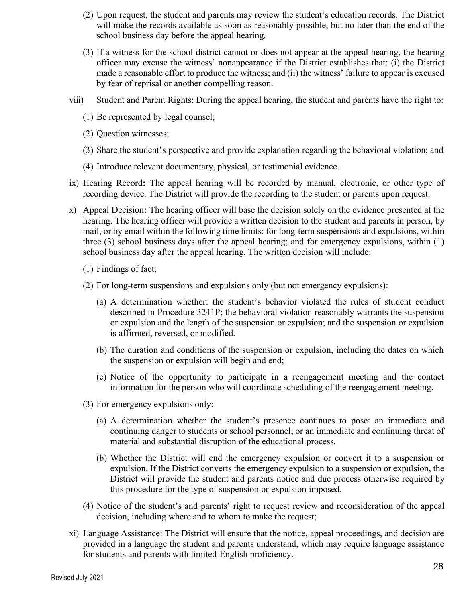- (2) Upon request, the student and parents may review the student's education records. The District will make the records available as soon as reasonably possible, but no later than the end of the school business day before the appeal hearing.
- (3) If a witness for the school district cannot or does not appear at the appeal hearing, the hearing officer may excuse the witness' nonappearance if the District establishes that: (i) the District made a reasonable effort to produce the witness; and (ii) the witness' failure to appear is excused by fear of reprisal or another compelling reason.
- viii) Student and Parent Rights: During the appeal hearing, the student and parents have the right to:
	- (1) Be represented by legal counsel;
	- (2) Question witnesses;
	- (3) Share the student's perspective and provide explanation regarding the behavioral violation; and
	- (4) Introduce relevant documentary, physical, or testimonial evidence.
- ix) Hearing Record**:** The appeal hearing will be recorded by manual, electronic, or other type of recording device. The District will provide the recording to the student or parents upon request.
- x) Appeal Decision**:** The hearing officer will base the decision solely on the evidence presented at the hearing. The hearing officer will provide a written decision to the student and parents in person, by mail, or by email within the following time limits: for long-term suspensions and expulsions, within three (3) school business days after the appeal hearing; and for emergency expulsions, within (1) school business day after the appeal hearing. The written decision will include:
	- (1) Findings of fact;
	- (2) For long-term suspensions and expulsions only (but not emergency expulsions):
		- (a) A determination whether: the student's behavior violated the rules of student conduct described in Procedure 3241P; the behavioral violation reasonably warrants the suspension or expulsion and the length of the suspension or expulsion; and the suspension or expulsion is affirmed, reversed, or modified.
		- (b) The duration and conditions of the suspension or expulsion, including the dates on which the suspension or expulsion will begin and end;
		- (c) Notice of the opportunity to participate in a reengagement meeting and the contact information for the person who will coordinate scheduling of the reengagement meeting.
	- (3) For emergency expulsions only:
		- (a) A determination whether the student's presence continues to pose: an immediate and continuing danger to students or school personnel; or an immediate and continuing threat of material and substantial disruption of the educational process.
		- (b) Whether the District will end the emergency expulsion or convert it to a suspension or expulsion. If the District converts the emergency expulsion to a suspension or expulsion, the District will provide the student and parents notice and due process otherwise required by this procedure for the type of suspension or expulsion imposed.
	- (4) Notice of the student's and parents' right to request review and reconsideration of the appeal decision, including where and to whom to make the request;
- xi) Language Assistance: The District will ensure that the notice, appeal proceedings, and decision are provided in a language the student and parents understand, which may require language assistance for students and parents with limited-English proficiency.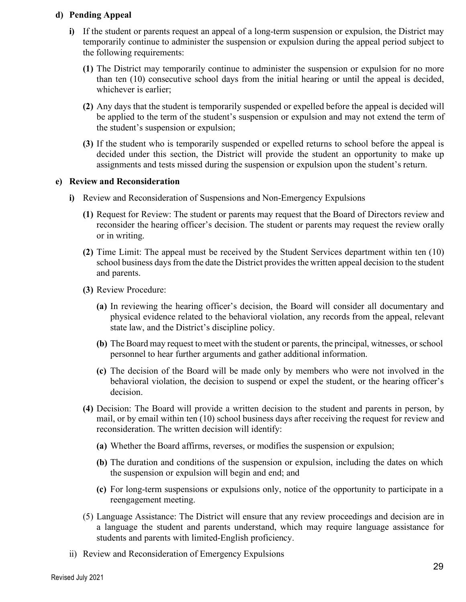#### **d) Pending Appeal**

- **i)** If the student or parents request an appeal of a long-term suspension or expulsion, the District may temporarily continue to administer the suspension or expulsion during the appeal period subject to the following requirements:
	- **(1)** The District may temporarily continue to administer the suspension or expulsion for no more than ten (10) consecutive school days from the initial hearing or until the appeal is decided, whichever is earlier;
	- **(2)** Any days that the student is temporarily suspended or expelled before the appeal is decided will be applied to the term of the student's suspension or expulsion and may not extend the term of the student's suspension or expulsion;
	- **(3)** If the student who is temporarily suspended or expelled returns to school before the appeal is decided under this section, the District will provide the student an opportunity to make up assignments and tests missed during the suspension or expulsion upon the student's return.

#### **e) Review and Reconsideration**

- **i)** Review and Reconsideration of Suspensions and Non-Emergency Expulsions
	- **(1)** Request for Review: The student or parents may request that the Board of Directors review and reconsider the hearing officer's decision. The student or parents may request the review orally or in writing.
	- **(2)** Time Limit: The appeal must be received by the Student Services department within ten (10) school business days from the date the District provides the written appeal decision to the student and parents.
	- **(3)** Review Procedure:
		- **(a)** In reviewing the hearing officer's decision, the Board will consider all documentary and physical evidence related to the behavioral violation, any records from the appeal, relevant state law, and the District's discipline policy.
		- **(b)** The Board may request to meet with the student or parents, the principal, witnesses, or school personnel to hear further arguments and gather additional information.
		- **(c)** The decision of the Board will be made only by members who were not involved in the behavioral violation, the decision to suspend or expel the student, or the hearing officer's decision.
	- **(4)** Decision: The Board will provide a written decision to the student and parents in person, by mail, or by email within ten (10) school business days after receiving the request for review and reconsideration. The written decision will identify:
		- **(a)** Whether the Board affirms, reverses, or modifies the suspension or expulsion;
		- **(b)** The duration and conditions of the suspension or expulsion, including the dates on which the suspension or expulsion will begin and end; and
		- **(c)** For long-term suspensions or expulsions only, notice of the opportunity to participate in a reengagement meeting.
	- (5) Language Assistance: The District will ensure that any review proceedings and decision are in a language the student and parents understand, which may require language assistance for students and parents with limited-English proficiency.
- ii) Review and Reconsideration of Emergency Expulsions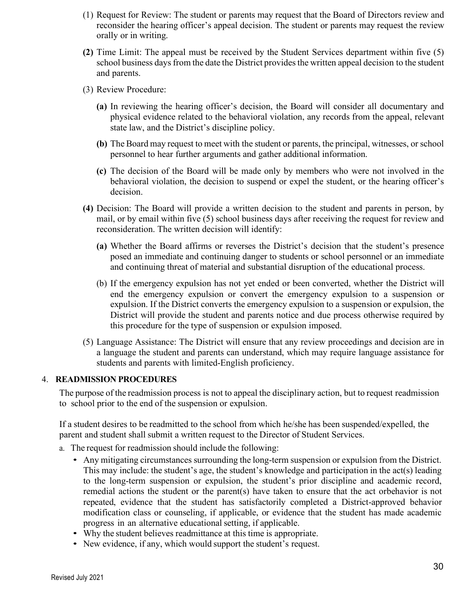- (1) Request for Review: The student or parents may request that the Board of Directors review and reconsider the hearing officer's appeal decision. The student or parents may request the review orally or in writing.
- **(2)** Time Limit: The appeal must be received by the Student Services department within five (5) school business days from the date the District provides the written appeal decision to the student and parents.
- (3) Review Procedure:
	- **(a)** In reviewing the hearing officer's decision, the Board will consider all documentary and physical evidence related to the behavioral violation, any records from the appeal, relevant state law, and the District's discipline policy.
	- **(b)** The Board may request to meet with the student or parents, the principal, witnesses, or school personnel to hear further arguments and gather additional information.
	- **(c)** The decision of the Board will be made only by members who were not involved in the behavioral violation, the decision to suspend or expel the student, or the hearing officer's decision.
- **(4)** Decision: The Board will provide a written decision to the student and parents in person, by mail, or by email within five (5) school business days after receiving the request for review and reconsideration. The written decision will identify:
	- **(a)** Whether the Board affirms or reverses the District's decision that the student's presence posed an immediate and continuing danger to students or school personnel or an immediate and continuing threat of material and substantial disruption of the educational process.
	- (b) If the emergency expulsion has not yet ended or been converted, whether the District will end the emergency expulsion or convert the emergency expulsion to a suspension or expulsion. If the District converts the emergency expulsion to a suspension or expulsion, the District will provide the student and parents notice and due process otherwise required by this procedure for the type of suspension or expulsion imposed.
- (5) Language Assistance: The District will ensure that any review proceedings and decision are in a language the student and parents can understand, which may require language assistance for students and parents with limited-English proficiency.

#### 4. **READMISSION PROCEDURES**

The purpose of the readmission process is not to appeal the disciplinary action, but to request readmission to school prior to the end of the suspension or expulsion.

If a student desires to be readmitted to the school from which he/she has been suspended/expelled, the parent and student shall submit a written request to the Director of Student Services.

- a. The request for readmission should include the following:
	- Any mitigating circumstances surrounding the long-term suspension or expulsion from the District. This may include: the student's age, the student's knowledge and participation in the act(s) leading to the long-term suspension or expulsion, the student's prior discipline and academic record, remedial actions the student or the parent(s) have taken to ensure that the act orbehavior is not repeated, evidence that the student has satisfactorily completed a District-approved behavior modification class or counseling, if applicable, or evidence that the student has made academic progress in an alternative educational setting, if applicable.
	- Why the student believes readmittance at this time is appropriate.
	- New evidence, if any, which would support the student's request.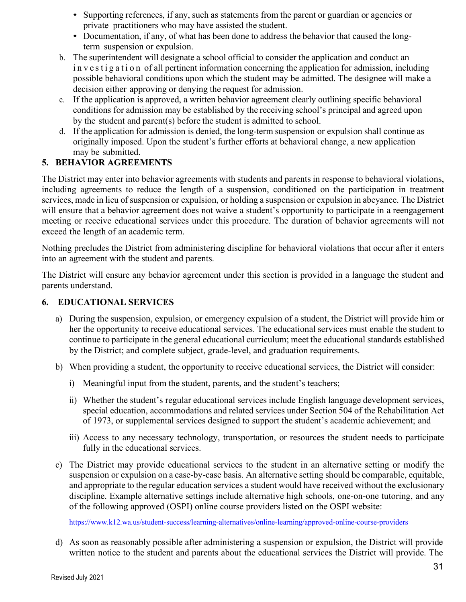- Supporting references, if any, such as statements from the parent or guardian or agencies or private practitioners who may have assisted the student.
- Documentation, if any, of what has been done to address the behavior that caused the longterm suspension or expulsion.
- b. The superintendent will designate a school official to consider the application and conduct an i n v e s t i g a t i o n of all pertinent information concerning the application for admission, including possible behavioral conditions upon which the student may be admitted. The designee will make a decision either approving or denying the request for admission.
- c. If the application is approved, a written behavior agreement clearly outlining specific behavioral conditions for admission may be established by the receiving school's principal and agreed upon by the student and parent(s) before the student is admitted to school.
- d. If the application for admission is denied, the long-term suspension or expulsion shall continue as originally imposed. Upon the student's further efforts at behavioral change, a new application may be submitted.

## **5. BEHAVIOR AGREEMENTS**

The District may enter into behavior agreements with students and parents in response to behavioral violations, including agreements to reduce the length of a suspension, conditioned on the participation in treatment services, made in lieu of suspension or expulsion, or holding a suspension or expulsion in abeyance. The District will ensure that a behavior agreement does not waive a student's opportunity to participate in a reengagement meeting or receive educational services under this procedure. The duration of behavior agreements will not exceed the length of an academic term.

Nothing precludes the District from administering discipline for behavioral violations that occur after it enters into an agreement with the student and parents.

The District will ensure any behavior agreement under this section is provided in a language the student and parents understand.

#### **6. EDUCATIONAL SERVICES**

- a) During the suspension, expulsion, or emergency expulsion of a student, the District will provide him or her the opportunity to receive educational services. The educational services must enable the student to continue to participate in the general educational curriculum; meet the educational standards established by the District; and complete subject, grade-level, and graduation requirements.
- b) When providing a student, the opportunity to receive educational services, the District will consider:
	- i) Meaningful input from the student, parents, and the student's teachers;
	- ii) Whether the student's regular educational services include English language development services, special education, accommodations and related services under Section 504 of the Rehabilitation Act of 1973, or supplemental services designed to support the student's academic achievement; and
	- iii) Access to any necessary technology, transportation, or resources the student needs to participate fully in the educational services.
- c) The District may provide educational services to the student in an alternative setting or modify the suspension or expulsion on a case-by-case basis. An alternative setting should be comparable, equitable, and appropriate to the regular education services a student would have received without the exclusionary discipline. Example alternative settings include alternative high schools, one-on-one tutoring, and any of the following approved (OSPI) online course providers listed on the OSPI website:

https://www.k12.wa.us/student-success/learning-alternatives/online-learning/approved-online-course-providers

d) As soon as reasonably possible after administering a suspension or expulsion, the District will provide written notice to the student and parents about the educational services the District will provide. The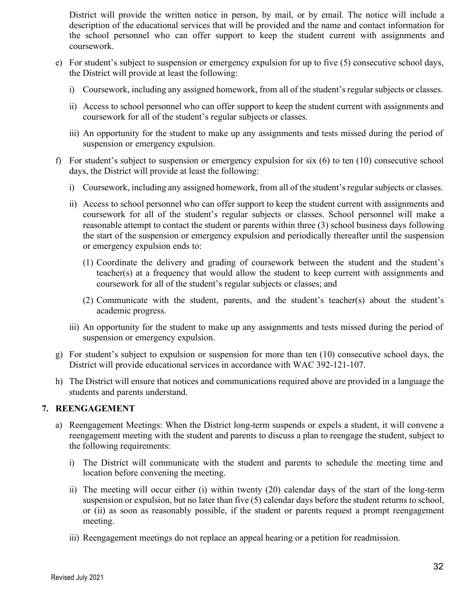District will provide the written notice in person, by mail, or by email. The notice will include a description of the educational services that will be provided and the name and contact information for the school personnel who can offer support to keep the student current with assignments and coursework.

- e) For student's subject to suspension or emergency expulsion for up to five (5) consecutive school days, the District will provide at least the following:
	- i) Coursework, including any assigned homework, from all of the student'sregular subjects or classes.
	- ii) Access to school personnel who can offer support to keep the student current with assignments and coursework for all of the student's regular subjects or classes.
	- iii) An opportunity for the student to make up any assignments and tests missed during the period of suspension or emergency expulsion.
- f) For student's subject to suspension or emergency expulsion for six (6) to ten (10) consecutive school days, the District will provide at least the following:
	- i) Coursework, including any assigned homework, from all of the student'sregular subjects or classes.
	- ii) Access to school personnel who can offer support to keep the student current with assignments and coursework for all of the student's regular subjects or classes. School personnel will make a reasonable attempt to contact the student or parents within three (3) school business days following the start of the suspension or emergency expulsion and periodically thereafter until the suspension or emergency expulsion ends to:
		- (1) Coordinate the delivery and grading of coursework between the student and the student's teacher(s) at a frequency that would allow the student to keep current with assignments and coursework for all of the student's regular subjects or classes; and
		- (2) Communicate with the student, parents, and the student's teacher(s) about the student's academic progress.
	- iii) An opportunity for the student to make up any assignments and tests missed during the period of suspension or emergency expulsion.
- g) For student's subject to expulsion or suspension for more than ten (10) consecutive school days, the District will provide educational services in accordance with WAC 392-121-107.
- h) The District will ensure that notices and communications required above are provided in a language the students and parents understand.

#### **7. REENGAGEMENT**

- a) Reengagement Meetings: When the District long-term suspends or expels a student, it will convene a reengagement meeting with the student and parents to discuss a plan to reengage the student, subject to the following requirements:
	- i) The District will communicate with the student and parents to schedule the meeting time and location before convening the meeting.
	- ii) The meeting will occur either (i) within twenty (20) calendar days of the start of the long-term suspension or expulsion, but no later than five (5) calendar days before the student returns to school, or (ii) as soon as reasonably possible, if the student or parents request a prompt reengagement meeting.
	- iii) Reengagement meetings do not replace an appeal hearing or a petition for readmission.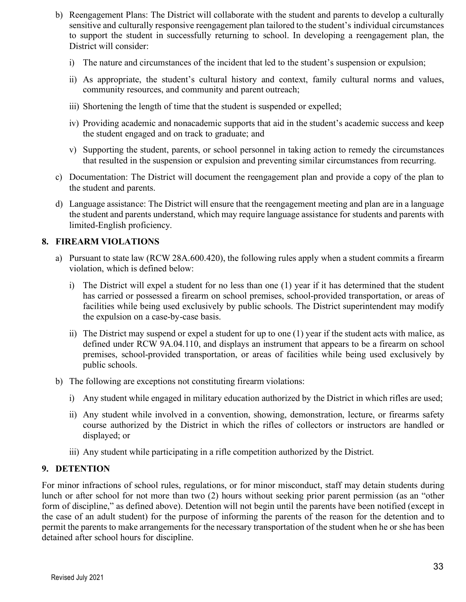- b) Reengagement Plans: The District will collaborate with the student and parents to develop a culturally sensitive and culturally responsive reengagement plan tailored to the student's individual circumstances to support the student in successfully returning to school. In developing a reengagement plan, the District will consider:
	- i) The nature and circumstances of the incident that led to the student's suspension or expulsion;
	- ii) As appropriate, the student's cultural history and context, family cultural norms and values, community resources, and community and parent outreach;
	- iii) Shortening the length of time that the student is suspended or expelled;
	- iv) Providing academic and nonacademic supports that aid in the student's academic success and keep the student engaged and on track to graduate; and
	- v) Supporting the student, parents, or school personnel in taking action to remedy the circumstances that resulted in the suspension or expulsion and preventing similar circumstances from recurring.
- c) Documentation: The District will document the reengagement plan and provide a copy of the plan to the student and parents.
- d) Language assistance: The District will ensure that the reengagement meeting and plan are in a language the student and parents understand, which may require language assistance for students and parents with limited-English proficiency.

#### **8. FIREARM VIOLATIONS**

- a) Pursuant to state law (RCW 28A.600.420), the following rules apply when a student commits a firearm violation, which is defined below:
	- i) The District will expel a student for no less than one (1) year if it has determined that the student has carried or possessed a firearm on school premises, school-provided transportation, or areas of facilities while being used exclusively by public schools. The District superintendent may modify the expulsion on a case-by-case basis.
	- ii) The District may suspend or expel a student for up to one (1) year if the student acts with malice, as defined under RCW 9A.04.110, and displays an instrument that appears to be a firearm on school premises, school-provided transportation, or areas of facilities while being used exclusively by public schools.
- b) The following are exceptions not constituting firearm violations:
	- i) Any student while engaged in military education authorized by the District in which rifles are used;
	- ii) Any student while involved in a convention, showing, demonstration, lecture, or firearms safety course authorized by the District in which the rifles of collectors or instructors are handled or displayed; or
	- iii) Any student while participating in a rifle competition authorized by the District.

#### **9. DETENTION**

For minor infractions of school rules, regulations, or for minor misconduct, staff may detain students during lunch or after school for not more than two (2) hours without seeking prior parent permission (as an "other form of discipline," as defined above). Detention will not begin until the parents have been notified (except in the case of an adult student) for the purpose of informing the parents of the reason for the detention and to permit the parents to make arrangements for the necessary transportation of the student when he or she has been detained after school hours for discipline.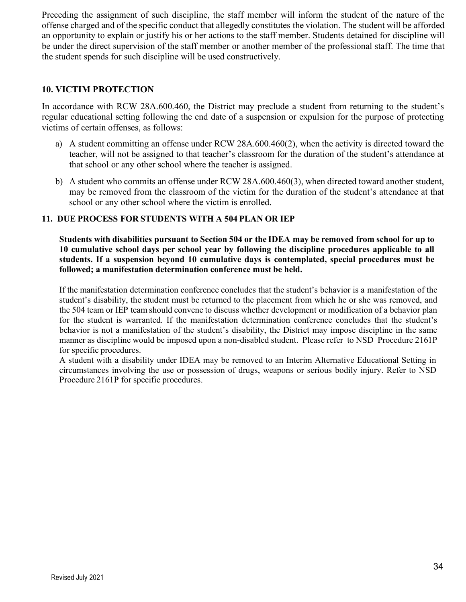Preceding the assignment of such discipline, the staff member will inform the student of the nature of the offense charged and of the specific conduct that allegedly constitutes the violation. The student will be afforded an opportunity to explain or justify his or her actions to the staff member. Students detained for discipline will be under the direct supervision of the staff member or another member of the professional staff. The time that the student spends for such discipline will be used constructively.

#### **10. VICTIM PROTECTION**

In accordance with RCW 28A.600.460, the District may preclude a student from returning to the student's regular educational setting following the end date of a suspension or expulsion for the purpose of protecting victims of certain offenses, as follows:

- a) A student committing an offense under RCW 28A.600.460(2), when the activity is directed toward the teacher, will not be assigned to that teacher's classroom for the duration of the student's attendance at that school or any other school where the teacher is assigned.
- b) A student who commits an offense under RCW 28A.600.460(3), when directed toward another student, may be removed from the classroom of the victim for the duration of the student's attendance at that school or any other school where the victim is enrolled.

#### **11. DUE PROCESS FOR STUDENTS WITH A 504 PLAN OR IEP**

Students with disabilities pursuant to Section 504 or the IDEA may be removed from school for up to **10 cumulative school days per school year by following the discipline procedures applicable to all students. If a suspension beyond 10 cumulative days is contemplated, special procedures must be followed; a manifestation determination conference must be held.**

If the manifestation determination conference concludes that the student's behavior is a manifestation of the student's disability, the student must be returned to the placement from which he or she was removed, and the 504 team or IEP team should convene to discuss whether development or modification of a behavior plan for the student is warranted. If the manifestation determination conference concludes that the student's behavior is not a manifestation of the student's disability, the District may impose discipline in the same manner as discipline would be imposed upon a non-disabled student. Please refer to NSD Procedure 2161P for specific procedures.

A student with a disability under IDEA may be removed to an Interim Alternative Educational Setting in circumstances involving the use or possession of drugs, weapons or serious bodily injury. Refer to NSD Procedure 2161P for specific procedures.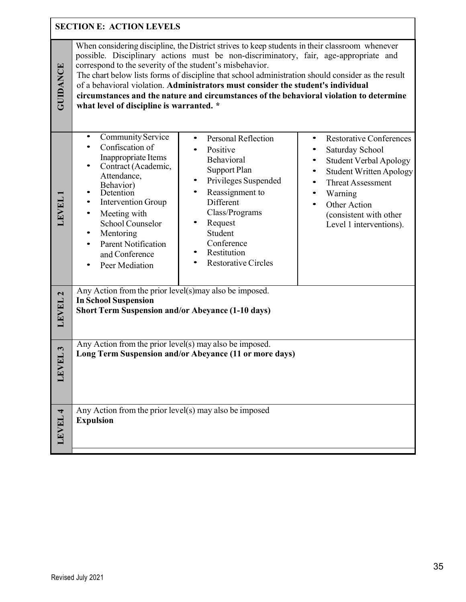|                    | <b>SECTION E: ACTION LEVELS</b>                                                                                                                                                                                                                                                          |                                                                                                                                                                                                                                                                                                                                                                                                                                                                             |                                                                                                                                                                                                                                                                                                                 |
|--------------------|------------------------------------------------------------------------------------------------------------------------------------------------------------------------------------------------------------------------------------------------------------------------------------------|-----------------------------------------------------------------------------------------------------------------------------------------------------------------------------------------------------------------------------------------------------------------------------------------------------------------------------------------------------------------------------------------------------------------------------------------------------------------------------|-----------------------------------------------------------------------------------------------------------------------------------------------------------------------------------------------------------------------------------------------------------------------------------------------------------------|
| <b>GUIDANCE</b>    | correspond to the severity of the student's misbehavior.<br>what level of discipline is warranted. *                                                                                                                                                                                     | When considering discipline, the District strives to keep students in their classroom whenever<br>possible. Disciplinary actions must be non-discriminatory, fair, age-appropriate and<br>The chart below lists forms of discipline that school administration should consider as the result<br>of a behavioral violation. Administrators must consider the student's individual<br>circumstances and the nature and circumstances of the behavioral violation to determine |                                                                                                                                                                                                                                                                                                                 |
| LEVEL              | Community Service<br>Confiscation of<br>Inappropriate Items<br>Contract (Academic,<br>Attendance,<br>Behavior)<br>Detention<br><b>Intervention Group</b><br>$\bullet$<br>Meeting with<br>School Counselor<br>Mentoring<br><b>Parent Notification</b><br>and Conference<br>Peer Mediation | Personal Reflection<br>$\bullet$<br>Positive<br>Behavioral<br><b>Support Plan</b><br>Privileges Suspended<br>$\bullet$<br>Reassignment to<br>$\bullet$<br>Different<br>Class/Programs<br>Request<br>Student<br>Conference<br>Restitution<br><b>Restorative Circles</b>                                                                                                                                                                                                      | <b>Restorative Conferences</b><br>$\bullet$<br>Saturday School<br><b>Student Verbal Apology</b><br>$\bullet$<br><b>Student Written Apology</b><br>$\bullet$<br><b>Threat Assessment</b><br>$\bullet$<br>Warning<br>$\bullet$<br>Other Action<br>$\bullet$<br>(consistent with other)<br>Level 1 interventions). |
| LEVEL <sub>2</sub> | Any Action from the prior level(s)may also be imposed.<br><b>In School Suspension</b><br><b>Short Term Suspension and/or Abeyance (1-10 days)</b>                                                                                                                                        |                                                                                                                                                                                                                                                                                                                                                                                                                                                                             |                                                                                                                                                                                                                                                                                                                 |
| L3<br>LEVE         | Any Action from the prior level(s) may also be imposed.<br>Long Term Suspension and/or Abeyance (11 or more days)                                                                                                                                                                        |                                                                                                                                                                                                                                                                                                                                                                                                                                                                             |                                                                                                                                                                                                                                                                                                                 |
| LEVEL 4            | Any Action from the prior level(s) may also be imposed<br><b>Expulsion</b>                                                                                                                                                                                                               |                                                                                                                                                                                                                                                                                                                                                                                                                                                                             |                                                                                                                                                                                                                                                                                                                 |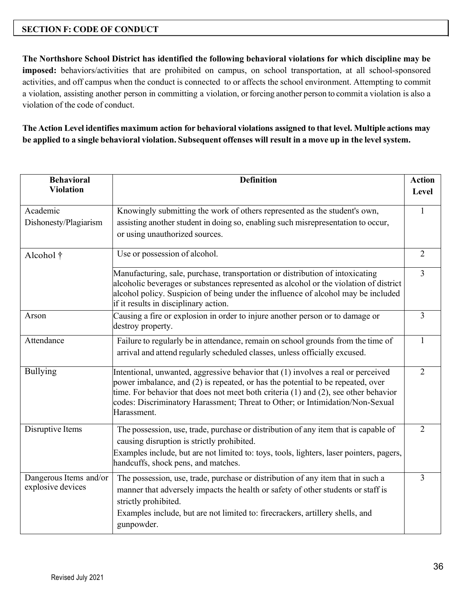#### **SECTION F: CODE OF CONDUCT**

**The Northshore School District has identified the following behavioral violations for which discipline may be imposed:** behaviors/activities that are prohibited on campus, on school transportation, at all school-sponsored activities, and off campus when the conduct is connected to or affects the school environment. Attempting to commit a violation, assisting another person in committing a violation, or forcing another person to commit a violation is also a violation of the code of conduct.

The Action Level identifies maximum action for behavioral violations assigned to that level. Multiple actions may be applied to a single behavioral violation. Subsequent offenses will result in a move up in the level system.

| <b>Behavioral</b><br><b>Violation</b>       | <b>Definition</b>                                                                                                                                                                                                                                                                                                                                          | <b>Action</b><br>Level |
|---------------------------------------------|------------------------------------------------------------------------------------------------------------------------------------------------------------------------------------------------------------------------------------------------------------------------------------------------------------------------------------------------------------|------------------------|
| Academic<br>Dishonesty/Plagiarism           | Knowingly submitting the work of others represented as the student's own,<br>assisting another student in doing so, enabling such misrepresentation to occur,<br>or using unauthorized sources.                                                                                                                                                            | 1                      |
| Alcohol †                                   | Use or possession of alcohol.                                                                                                                                                                                                                                                                                                                              | $\overline{2}$         |
|                                             | Manufacturing, sale, purchase, transportation or distribution of intoxicating<br>alcoholic beverages or substances represented as alcohol or the violation of district<br>alcohol policy. Suspicion of being under the influence of alcohol may be included<br>if it results in disciplinary action.                                                       | $\overline{3}$         |
| Arson                                       | Causing a fire or explosion in order to injure another person or to damage or<br>destroy property.                                                                                                                                                                                                                                                         | $\overline{3}$         |
| Attendance                                  | Failure to regularly be in attendance, remain on school grounds from the time of<br>arrival and attend regularly scheduled classes, unless officially excused.                                                                                                                                                                                             | $\mathbf{1}$           |
| <b>Bullying</b>                             | Intentional, unwanted, aggressive behavior that (1) involves a real or perceived<br>power imbalance, and (2) is repeated, or has the potential to be repeated, over<br>time. For behavior that does not meet both criteria (1) and (2), see other behavior<br>codes: Discriminatory Harassment; Threat to Other; or Intimidation/Non-Sexual<br>Harassment. | $\overline{2}$         |
| Disruptive Items                            | The possession, use, trade, purchase or distribution of any item that is capable of<br>causing disruption is strictly prohibited.<br>Examples include, but are not limited to: toys, tools, lighters, laser pointers, pagers,<br>handcuffs, shock pens, and matches.                                                                                       | $\overline{2}$         |
| Dangerous Items and/or<br>explosive devices | The possession, use, trade, purchase or distribution of any item that in such a<br>manner that adversely impacts the health or safety of other students or staff is<br>strictly prohibited.<br>Examples include, but are not limited to: firecrackers, artillery shells, and<br>gunpowder.                                                                 | 3                      |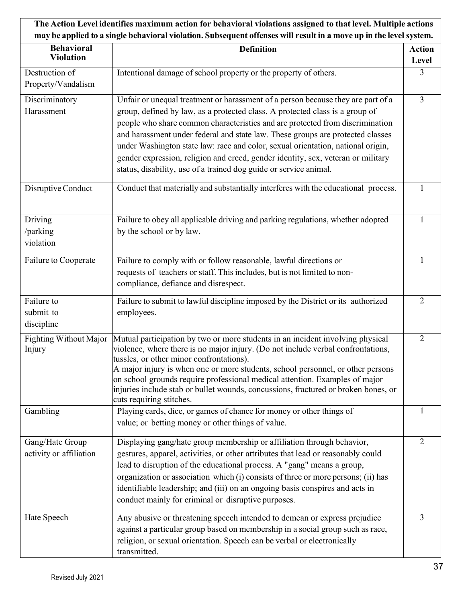| The Action Level identifies maximum action for behavioral violations assigned to that level. Multiple actions |                                                                                                                             |                |
|---------------------------------------------------------------------------------------------------------------|-----------------------------------------------------------------------------------------------------------------------------|----------------|
|                                                                                                               | may be applied to a single behavioral violation. Subsequent offenses will result in a move up in the level system.          |                |
| <b>Behavioral</b>                                                                                             | <b>Definition</b>                                                                                                           | <b>Action</b>  |
| <b>Violation</b>                                                                                              |                                                                                                                             | Level          |
| Destruction of                                                                                                | Intentional damage of school property or the property of others.                                                            | 3              |
| Property/Vandalism                                                                                            |                                                                                                                             |                |
| Discriminatory                                                                                                | Unfair or unequal treatment or harassment of a person because they are part of a                                            | 3              |
| Harassment                                                                                                    | group, defined by law, as a protected class. A protected class is a group of                                                |                |
|                                                                                                               | people who share common characteristics and are protected from discrimination                                               |                |
|                                                                                                               | and harassment under federal and state law. These groups are protected classes                                              |                |
|                                                                                                               | under Washington state law: race and color, sexual orientation, national origin,                                            |                |
|                                                                                                               | gender expression, religion and creed, gender identity, sex, veteran or military                                            |                |
|                                                                                                               | status, disability, use of a trained dog guide or service animal.                                                           |                |
| Disruptive Conduct                                                                                            | Conduct that materially and substantially interferes with the educational process.                                          |                |
|                                                                                                               |                                                                                                                             |                |
| Driving                                                                                                       | Failure to obey all applicable driving and parking regulations, whether adopted                                             | 1              |
| /parking                                                                                                      | by the school or by law.                                                                                                    |                |
| violation                                                                                                     |                                                                                                                             |                |
| Failure to Cooperate                                                                                          | Failure to comply with or follow reasonable, lawful directions or                                                           |                |
|                                                                                                               | requests of teachers or staff. This includes, but is not limited to non-                                                    |                |
|                                                                                                               | compliance, defiance and disrespect.                                                                                        |                |
| Failure to                                                                                                    | Failure to submit to lawful discipline imposed by the District or its authorized                                            | $\overline{2}$ |
| submit to                                                                                                     | employees.                                                                                                                  |                |
| discipline                                                                                                    |                                                                                                                             |                |
| Fighting Without Major                                                                                        | Mutual participation by two or more students in an incident involving physical                                              | $\overline{2}$ |
| Injury                                                                                                        | violence, where there is no major injury. (Do not include verbal confrontations,                                            |                |
|                                                                                                               | tussles, or other minor confrontations).<br>A major injury is when one or more students, school personnel, or other persons |                |
|                                                                                                               | on school grounds require professional medical attention. Examples of major                                                 |                |
|                                                                                                               | injuries include stab or bullet wounds, concussions, fractured or broken bones, or                                          |                |
|                                                                                                               | cuts requiring stitches.                                                                                                    |                |
| Gambling                                                                                                      | Playing cards, dice, or games of chance for money or other things of                                                        |                |
|                                                                                                               | value; or betting money or other things of value.                                                                           |                |
| Gang/Hate Group                                                                                               | Displaying gang/hate group membership or affiliation through behavior,                                                      | $\overline{2}$ |
| activity or affiliation                                                                                       | gestures, apparel, activities, or other attributes that lead or reasonably could                                            |                |
|                                                                                                               | lead to disruption of the educational process. A "gang" means a group,                                                      |                |
|                                                                                                               | organization or association which (i) consists of three or more persons; (ii) has                                           |                |
|                                                                                                               | identifiable leadership; and (iii) on an ongoing basis conspires and acts in                                                |                |
|                                                                                                               | conduct mainly for criminal or disruptive purposes.                                                                         |                |
| Hate Speech                                                                                                   | Any abusive or threatening speech intended to demean or express prejudice                                                   | 3              |
|                                                                                                               | against a particular group based on membership in a social group such as race,                                              |                |
|                                                                                                               | religion, or sexual orientation. Speech can be verbal or electronically                                                     |                |
|                                                                                                               | transmitted.                                                                                                                |                |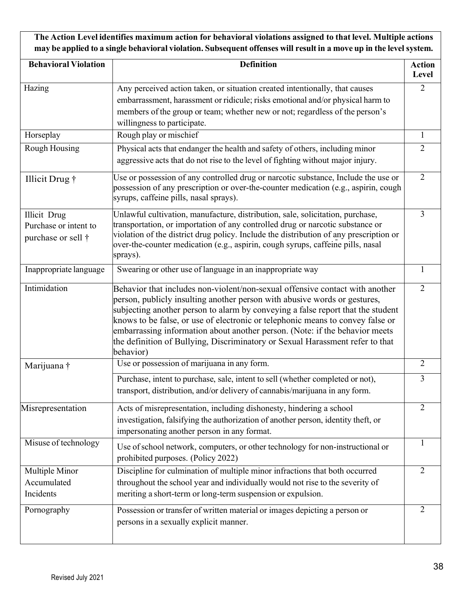**The Action Level identifies maximum action for behavioral violations assigned to that level. Multiple actions** may be applied to a single behavioral violation. Subsequent offenses will result in a move up in the level system.

| <b>Behavioral Violation</b>                                                | <b>Definition</b>                                                                                                                                                                                                                                                                                                                                                                                                                                                                                           | <b>Action</b><br>Level |
|----------------------------------------------------------------------------|-------------------------------------------------------------------------------------------------------------------------------------------------------------------------------------------------------------------------------------------------------------------------------------------------------------------------------------------------------------------------------------------------------------------------------------------------------------------------------------------------------------|------------------------|
| Hazing                                                                     | Any perceived action taken, or situation created intentionally, that causes<br>embarrassment, harassment or ridicule; risks emotional and/or physical harm to<br>members of the group or team; whether new or not; regardless of the person's<br>willingness to participate.                                                                                                                                                                                                                                | $\overline{2}$         |
| Horseplay                                                                  | Rough play or mischief                                                                                                                                                                                                                                                                                                                                                                                                                                                                                      | $\mathbf{1}$           |
| Rough Housing                                                              | Physical acts that endanger the health and safety of others, including minor<br>aggressive acts that do not rise to the level of fighting without major injury.                                                                                                                                                                                                                                                                                                                                             | $\overline{2}$         |
| Illicit Drug †                                                             | Use or possession of any controlled drug or narcotic substance, Include the use or<br>possession of any prescription or over-the-counter medication (e.g., aspirin, cough<br>syrups, caffeine pills, nasal sprays).                                                                                                                                                                                                                                                                                         | $\overline{2}$         |
| <b>Illicit Drug</b><br>Purchase or intent to<br>purchase or sell $\dagger$ | Unlawful cultivation, manufacture, distribution, sale, solicitation, purchase,<br>transportation, or importation of any controlled drug or narcotic substance or<br>violation of the district drug policy. Include the distribution of any prescription or<br>over-the-counter medication (e.g., aspirin, cough syrups, caffeine pills, nasal<br>sprays).                                                                                                                                                   | 3                      |
| Inappropriate language                                                     | Swearing or other use of language in an inappropriate way                                                                                                                                                                                                                                                                                                                                                                                                                                                   | 1                      |
| Intimidation                                                               | Behavior that includes non-violent/non-sexual offensive contact with another<br>person, publicly insulting another person with abusive words or gestures,<br>subjecting another person to alarm by conveying a false report that the student<br>knows to be false, or use of electronic or telephonic means to convey false or<br>embarrassing information about another person. (Note: if the behavior meets<br>the definition of Bullying, Discriminatory or Sexual Harassment refer to that<br>behavior) | $\overline{2}$         |
| Marijuana †                                                                | Use or possession of marijuana in any form.                                                                                                                                                                                                                                                                                                                                                                                                                                                                 | $\overline{2}$         |
|                                                                            | Purchase, intent to purchase, sale, intent to sell (whether completed or not),<br>transport, distribution, and/or delivery of cannabis/marijuana in any form.                                                                                                                                                                                                                                                                                                                                               | 3                      |
| Misrepresentation                                                          | Acts of misrepresentation, including dishonesty, hindering a school<br>investigation, falsifying the authorization of another person, identity theft, or<br>impersonating another person in any format.                                                                                                                                                                                                                                                                                                     | $\overline{2}$         |
| Misuse of technology                                                       | Use of school network, computers, or other technology for non-instructional or<br>prohibited purposes. (Policy 2022)                                                                                                                                                                                                                                                                                                                                                                                        | 1                      |
| Multiple Minor<br>Accumulated<br>Incidents                                 | Discipline for culmination of multiple minor infractions that both occurred<br>throughout the school year and individually would not rise to the severity of<br>meriting a short-term or long-term suspension or expulsion.                                                                                                                                                                                                                                                                                 | $\overline{2}$         |
| Pornography                                                                | Possession or transfer of written material or images depicting a person or<br>persons in a sexually explicit manner.                                                                                                                                                                                                                                                                                                                                                                                        | $\overline{2}$         |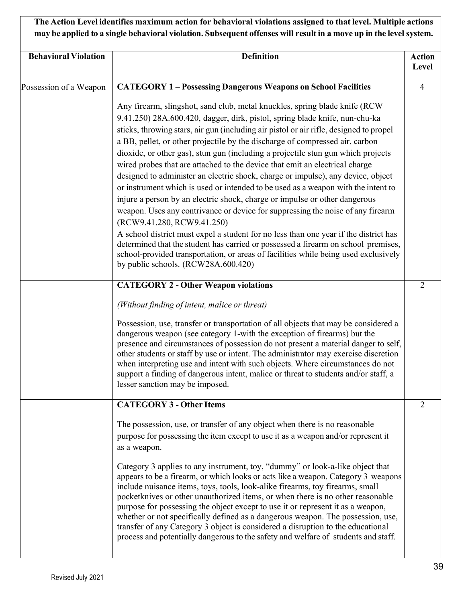|                             | The Action Level identifies maximum action for behavioral violations assigned to that level. Multiple actions<br>may be applied to a single behavioral violation. Subsequent offenses will result in a move up in the level system.                                                                                                                                                                                                                                                                                                                                                                                                                                                                                                                                                                                                                                                                                                                                                                                                                                                                                                                                                         |                        |
|-----------------------------|---------------------------------------------------------------------------------------------------------------------------------------------------------------------------------------------------------------------------------------------------------------------------------------------------------------------------------------------------------------------------------------------------------------------------------------------------------------------------------------------------------------------------------------------------------------------------------------------------------------------------------------------------------------------------------------------------------------------------------------------------------------------------------------------------------------------------------------------------------------------------------------------------------------------------------------------------------------------------------------------------------------------------------------------------------------------------------------------------------------------------------------------------------------------------------------------|------------------------|
| <b>Behavioral Violation</b> | <b>Definition</b>                                                                                                                                                                                                                                                                                                                                                                                                                                                                                                                                                                                                                                                                                                                                                                                                                                                                                                                                                                                                                                                                                                                                                                           | <b>Action</b><br>Level |
| Possession of a Weapon      | <b>CATEGORY 1 - Possessing Dangerous Weapons on School Facilities</b>                                                                                                                                                                                                                                                                                                                                                                                                                                                                                                                                                                                                                                                                                                                                                                                                                                                                                                                                                                                                                                                                                                                       | 4                      |
|                             | Any firearm, slingshot, sand club, metal knuckles, spring blade knife (RCW)<br>9.41.250) 28A.600.420, dagger, dirk, pistol, spring blade knife, nun-chu-ka<br>sticks, throwing stars, air gun (including air pistol or air rifle, designed to propel<br>a BB, pellet, or other projectile by the discharge of compressed air, carbon<br>dioxide, or other gas), stun gun (including a projectile stun gun which projects<br>wired probes that are attached to the device that emit an electrical charge<br>designed to administer an electric shock, charge or impulse), any device, object<br>or instrument which is used or intended to be used as a weapon with the intent to<br>injure a person by an electric shock, charge or impulse or other dangerous<br>weapon. Uses any contrivance or device for suppressing the noise of any firearm<br>(RCW9.41.280, RCW9.41.250)<br>A school district must expel a student for no less than one year if the district has<br>determined that the student has carried or possessed a firearm on school premises,<br>school-provided transportation, or areas of facilities while being used exclusively<br>by public schools. (RCW28A.600.420) |                        |
|                             | <b>CATEGORY 2 - Other Weapon violations</b>                                                                                                                                                                                                                                                                                                                                                                                                                                                                                                                                                                                                                                                                                                                                                                                                                                                                                                                                                                                                                                                                                                                                                 | 2                      |
|                             | (Without finding of intent, malice or threat)                                                                                                                                                                                                                                                                                                                                                                                                                                                                                                                                                                                                                                                                                                                                                                                                                                                                                                                                                                                                                                                                                                                                               |                        |
|                             | Possession, use, transfer or transportation of all objects that may be considered a<br>dangerous weapon (see category 1-with the exception of firearms) but the<br>presence and circumstances of possession do not present a material danger to self,<br>other students or staff by use or intent. The administrator may exercise discretion<br>when interpreting use and intent with such objects. Where circumstances do not<br>support a finding of dangerous intent, malice or threat to students and/or staff, a<br>lesser sanction may be imposed.                                                                                                                                                                                                                                                                                                                                                                                                                                                                                                                                                                                                                                    |                        |
|                             | <b>CATEGORY 3 - Other Items</b>                                                                                                                                                                                                                                                                                                                                                                                                                                                                                                                                                                                                                                                                                                                                                                                                                                                                                                                                                                                                                                                                                                                                                             | $\overline{2}$         |
|                             | The possession, use, or transfer of any object when there is no reasonable<br>purpose for possessing the item except to use it as a weapon and/or represent it<br>as a weapon.<br>Category 3 applies to any instrument, toy, "dummy" or look-a-like object that<br>appears to be a firearm, or which looks or acts like a weapon. Category 3 weapons<br>include nuisance items, toys, tools, look-alike firearms, toy firearms, small<br>pocketknives or other unauthorized items, or when there is no other reasonable<br>purpose for possessing the object except to use it or represent it as a weapon,<br>whether or not specifically defined as a dangerous weapon. The possession, use,<br>transfer of any Category 3 object is considered a disruption to the educational<br>process and potentially dangerous to the safety and welfare of students and staff.                                                                                                                                                                                                                                                                                                                      |                        |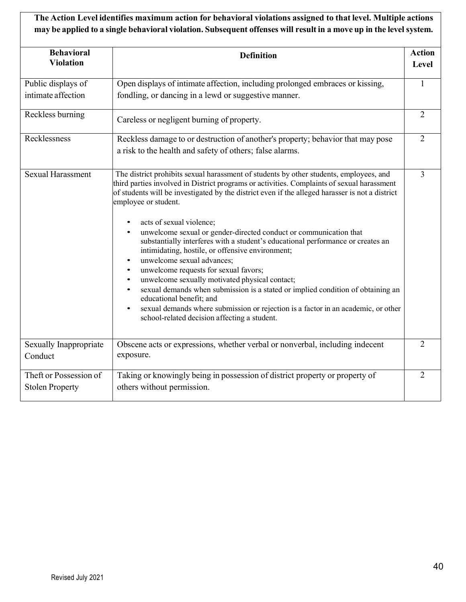**The Action Level identifies maximum action for behavioral violations assigned to that level. Multiple actions** may be applied to a single behavioral violation. Subsequent offenses will result in a move up in the level system.

| <b>Behavioral</b><br><b>Violation</b>            | <b>Definition</b>                                                                                                                                                                                                                                                                                                                                                                                                                                                                                                                                                                                                                                                                                                                                                                                                                                                                                                                                                                                          | <b>Action</b><br>Level |
|--------------------------------------------------|------------------------------------------------------------------------------------------------------------------------------------------------------------------------------------------------------------------------------------------------------------------------------------------------------------------------------------------------------------------------------------------------------------------------------------------------------------------------------------------------------------------------------------------------------------------------------------------------------------------------------------------------------------------------------------------------------------------------------------------------------------------------------------------------------------------------------------------------------------------------------------------------------------------------------------------------------------------------------------------------------------|------------------------|
| Public displays of                               | Open displays of intimate affection, including prolonged embraces or kissing,                                                                                                                                                                                                                                                                                                                                                                                                                                                                                                                                                                                                                                                                                                                                                                                                                                                                                                                              | $\mathbf{1}$           |
| intimate affection                               | fondling, or dancing in a lewd or suggestive manner.                                                                                                                                                                                                                                                                                                                                                                                                                                                                                                                                                                                                                                                                                                                                                                                                                                                                                                                                                       |                        |
| Reckless burning                                 | Careless or negligent burning of property.                                                                                                                                                                                                                                                                                                                                                                                                                                                                                                                                                                                                                                                                                                                                                                                                                                                                                                                                                                 | $\overline{2}$         |
| Recklessness                                     | Reckless damage to or destruction of another's property; behavior that may pose                                                                                                                                                                                                                                                                                                                                                                                                                                                                                                                                                                                                                                                                                                                                                                                                                                                                                                                            | $\overline{2}$         |
|                                                  | a risk to the health and safety of others; false alarms.                                                                                                                                                                                                                                                                                                                                                                                                                                                                                                                                                                                                                                                                                                                                                                                                                                                                                                                                                   |                        |
| <b>Sexual Harassment</b>                         | The district prohibits sexual harassment of students by other students, employees, and<br>third parties involved in District programs or activities. Complaints of sexual harassment<br>of students will be investigated by the district even if the alleged harasser is not a district<br>employee or student.<br>acts of sexual violence;<br>$\bullet$<br>unwelcome sexual or gender-directed conduct or communication that<br>substantially interferes with a student's educational performance or creates an<br>intimidating, hostile, or offensive environment;<br>unwelcome sexual advances;<br>$\bullet$<br>unwelcome requests for sexual favors;<br>٠<br>unwelcome sexually motivated physical contact;<br>$\bullet$<br>sexual demands when submission is a stated or implied condition of obtaining an<br>$\bullet$<br>educational benefit; and<br>sexual demands where submission or rejection is a factor in an academic, or other<br>$\bullet$<br>school-related decision affecting a student. | $\overline{3}$         |
| Sexually Inappropriate<br>Conduct                | Obscene acts or expressions, whether verbal or nonverbal, including indecent<br>exposure.                                                                                                                                                                                                                                                                                                                                                                                                                                                                                                                                                                                                                                                                                                                                                                                                                                                                                                                  | $\overline{2}$         |
| Theft or Possession of<br><b>Stolen Property</b> | Taking or knowingly being in possession of district property or property of<br>others without permission.                                                                                                                                                                                                                                                                                                                                                                                                                                                                                                                                                                                                                                                                                                                                                                                                                                                                                                  | $\overline{2}$         |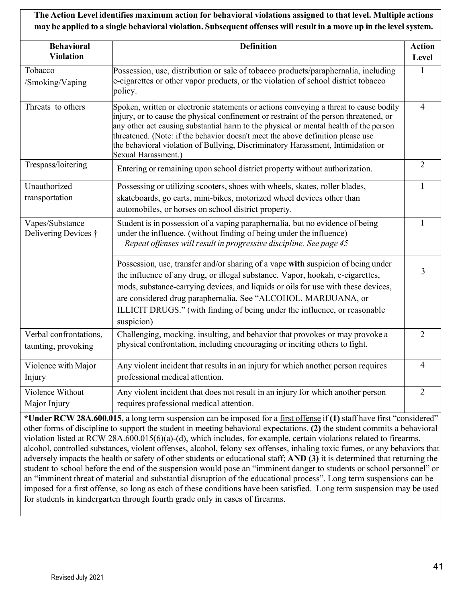## **The Action Level identifies maximum action for behavioral violations assigned to that level. Multiple actions** may be applied to a single behavioral violation. Subsequent offenses will result in a move up in the level system.

| <b>Behavioral</b><br><b>Violation</b>         | <b>Definition</b>                                                                                                                                                                                                                                                                                                                                                                                                                                                       | <b>Action</b><br>Level |
|-----------------------------------------------|-------------------------------------------------------------------------------------------------------------------------------------------------------------------------------------------------------------------------------------------------------------------------------------------------------------------------------------------------------------------------------------------------------------------------------------------------------------------------|------------------------|
| Tobacco<br>/Smoking/Vaping                    | Possession, use, distribution or sale of tobacco products/paraphernalia, including<br>e-cigarettes or other vapor products, or the violation of school district tobacco<br>policy.                                                                                                                                                                                                                                                                                      | 1                      |
| Threats to others                             | Spoken, written or electronic statements or actions conveying a threat to cause bodily<br>injury, or to cause the physical confinement or restraint of the person threatened, or<br>any other act causing substantial harm to the physical or mental health of the person<br>threatened. (Note: if the behavior doesn't meet the above definition please use<br>the behavioral violation of Bullying, Discriminatory Harassment, Intimidation or<br>Sexual Harassment.) | $\overline{4}$         |
| Trespass/loitering                            | Entering or remaining upon school district property without authorization.                                                                                                                                                                                                                                                                                                                                                                                              | $\overline{2}$         |
| Unauthorized<br>transportation                | Possessing or utilizing scooters, shoes with wheels, skates, roller blades,<br>skateboards, go carts, mini-bikes, motorized wheel devices other than<br>automobiles, or horses on school district property.                                                                                                                                                                                                                                                             | $\mathbf{1}$           |
| Vapes/Substance<br>Delivering Devices †       | Student is in possession of a vaping paraphernalia, but no evidence of being<br>under the influence. (without finding of being under the influence)<br>Repeat offenses will result in progressive discipline. See page 45                                                                                                                                                                                                                                               | 1                      |
|                                               | Possession, use, transfer and/or sharing of a vape with suspicion of being under<br>the influence of any drug, or illegal substance. Vapor, hookah, e-cigarettes,<br>mods, substance-carrying devices, and liquids or oils for use with these devices,<br>are considered drug paraphernalia. See "ALCOHOL, MARIJUANA, or<br>ILLICIT DRUGS." (with finding of being under the influence, or reasonable<br>suspicion)                                                     | 3                      |
| Verbal confrontations,<br>taunting, provoking | Challenging, mocking, insulting, and behavior that provokes or may provoke a<br>physical confrontation, including encouraging or inciting others to fight.                                                                                                                                                                                                                                                                                                              | $\overline{2}$         |
| Violence with Major<br>Injury                 | Any violent incident that results in an injury for which another person requires<br>professional medical attention.                                                                                                                                                                                                                                                                                                                                                     | $\overline{4}$         |
| Violence Without<br>Major Injury              | Any violent incident that does not result in an injury for which another person<br>requires professional medical attention.                                                                                                                                                                                                                                                                                                                                             | $\overline{2}$         |

**\*Under RCW 28A.600.015,** a long term suspension can be imposed for a first offense if **(1)** staff have first "considered" other forms of discipline to support the student in meeting behavioral expectations, **(2)** the student commits a behavioral violation listed at RCW 28A.600.015(6)(a)-(d), which includes, for example, certain violations related to firearms, alcohol, controlled substances, violent offenses, alcohol, felony sex offenses, inhaling toxic fumes, or any behaviors that adversely impacts the health or safety of other students or educational staff; **AND (3)** it is determined that returning the student to school before the end of the suspension would pose an "imminent danger to students or school personnel" or an "imminent threat of material and substantial disruption of the educational process". Long term suspensions can be imposed for a first offense, so long as each of these conditions have been satisfied. Long term suspension may be used for students in kindergarten through fourth grade only in cases of firearms.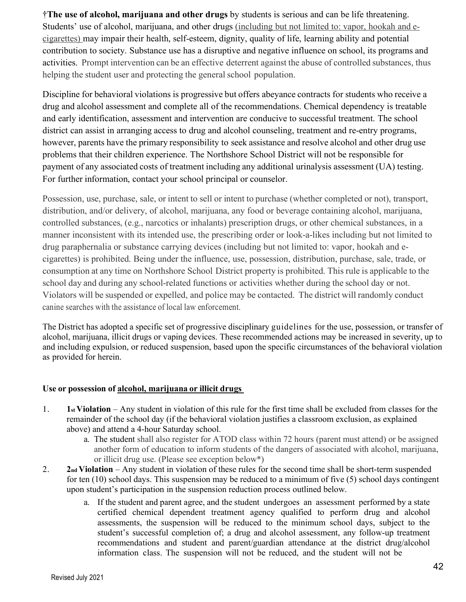†**The use of alcohol, marijuana and other drugs** by students is serious and can be life threatening. Students' use of alcohol, marijuana, and other drugs (including but not limited to: vapor, hookah and ecigarettes) may impair their health, self-esteem, dignity, quality of life, learning ability and potential contribution to society. Substance use has a disruptive and negative influence on school, its programs and activities. Prompt intervention can be an effective deterrent against the abuse of controlled substances, thus helping the student user and protecting the general school population.

Discipline for behavioral violations is progressive but offers abeyance contracts for students who receive a drug and alcohol assessment and complete all of the recommendations. Chemical dependency is treatable and early identification, assessment and intervention are conducive to successful treatment. The school district can assist in arranging access to drug and alcohol counseling, treatment and re-entry programs, however, parents have the primary responsibility to seek assistance and resolve alcohol and other drug use problems that their children experience. The Northshore School District will not be responsible for payment of any associated costs of treatment including any additional urinalysis assessment (UA) testing. For further information, contact your school principal or counselor.

Possession, use, purchase, sale, or intent to sell or intent to purchase (whether completed or not), transport, distribution, and/or delivery, of alcohol, marijuana, any food or beverage containing alcohol, marijuana, controlled substances, (e.g., narcotics or inhalants) prescription drugs, or other chemical substances, in a manner inconsistent with its intended use, the prescribing order or look-a-likes including but not limited to drug paraphernalia or substance carrying devices (including but not limited to: vapor, hookah and ecigarettes) is prohibited. Being under the influence, use, possession, distribution, purchase, sale, trade, or consumption at any time on Northshore School District property is prohibited. This rule is applicable to the school day and during any school-related functions or activities whether during the school day or not. Violators will be suspended or expelled, and police may be contacted. The district will randomly conduct canine searches with the assistance of local law enforcement.

The District has adopted a specific set of progressive disciplinary guidelines for the use, possession, or transfer of alcohol, marijuana, illicit drugs or vaping devices. These recommended actions may be increased in severity, up to and including expulsion, or reduced suspension, based upon the specific circumstances of the behavioral violation as provided for herein.

#### **Use or possession of alcohol, marijuana or illicit drugs**

- 1. **1st Violation**  Any student in violation of this rule for the first time shall be excluded from classes for the remainder of the school day (if the behavioral violation justifies a classroom exclusion, as explained above) and attend a 4-hour Saturday school.
	- a. The student shall also register for ATOD class within 72 hours (parent must attend) or be assigned another form of education to inform students of the dangers of associated with alcohol, marijuana, or illicit drug use. (Please see exception below\*)
- 2. **2nd Violation**  Any student in violation of these rules for the second time shall be short-term suspended for ten (10) school days. This suspension may be reduced to a minimum of five (5) school days contingent upon student's participation in the suspension reduction process outlined below.
	- a. If the student and parent agree, and the student undergoes an assessment performed by a state certified chemical dependent treatment agency qualified to perform drug and alcohol assessments, the suspension will be reduced to the minimum school days, subject to the student's successful completion of; a drug and alcohol assessment, any follow-up treatment recommendations and student and parent/guardian attendance at the district drug/alcohol information class. The suspension will not be reduced, and the student will not be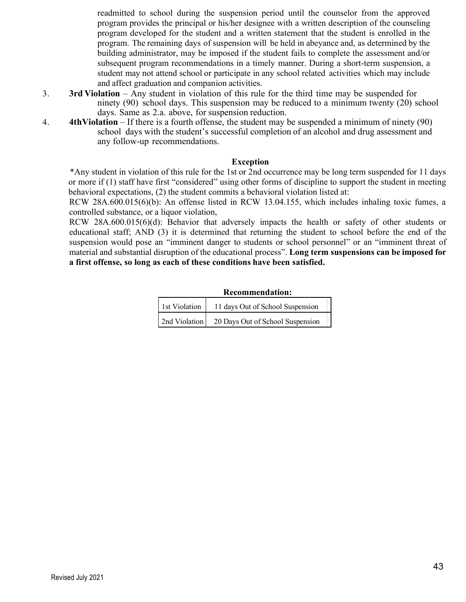readmitted to school during the suspension period until the counselor from the approved program provides the principal or his/her designee with a written description of the counseling program developed for the student and a written statement that the student is enrolled in the program. The remaining days of suspension will be held in abeyance and, as determined by the building administrator, may be imposed if the student fails to complete the assessment and/or subsequent program recommendations in a timely manner. During a short-term suspension, a student may not attend school or participate in any school related activities which may include and affect graduation and companion activities.

- 3. **3rd Violation** Any student in violation of this rule for the third time may be suspended for ninety (90) school days. This suspension may be reduced to a minimum twenty (20) school days. Same as 2.a. above, for suspension reduction.
- 4. **4thViolation**  If there is a fourth offense, the student may be suspended a minimum of ninety (90) school days with the student's successful completion of an alcohol and drug assessment and any follow-up recommendations.

#### **Exception**

\*Any student in violation of this rule for the 1st or 2nd occurrence may be long term suspended for 11 days or more if (1) staff have first "considered" using other forms of discipline to support the student in meeting behavioral expectations, (2) the student commits a behavioral violation listed at:

RCW 28A.600.015(6)(b): An offense listed in RCW 13.04.155, which includes inhaling toxic fumes, a controlled substance, or a liquor violation,

RCW 28A.600.015(6)(d): Behavior that adversely impacts the health or safety of other students or educational staff; AND (3) it is determined that returning the student to school before the end of the suspension would pose an "imminent danger to students or school personnel" or an "imminent threat of material and substantial disruption of the educational process". **Long term suspensions can be imposed for a first offense, so long as each of these conditions have been satisfied.**

#### **Recommendation:**

| 1st Violation | 11 days Out of School Suspension |
|---------------|----------------------------------|
| 2nd Violation | 20 Days Out of School Suspension |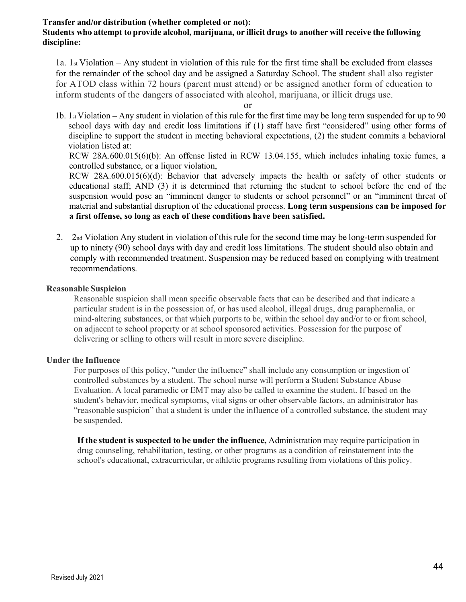#### **Transfer and/or distribution (whether completed or not):**

#### **Students who attempt to provide alcohol, marijuana, or illicit drugs to another will receive the following discipline:**

1a. 1st Violation – Any student in violation of this rule for the first time shall be excluded from classes for the remainder of the school day and be assigned a Saturday School. The student shall also register for ATOD class within 72 hours (parent must attend) or be assigned another form of education to inform students of the dangers of associated with alcohol, marijuana, or illicit drugs use.

or

1b. 1st Violation **–** Any student in violation of this rule for the first time may be long term suspended for up to 90 school days with day and credit loss limitations if (1) staff have first "considered" using other forms of discipline to support the student in meeting behavioral expectations, (2) the student commits a behavioral violation listed at:

RCW 28A.600.015(6)(b): An offense listed in RCW 13.04.155, which includes inhaling toxic fumes, a controlled substance, or a liquor violation,

RCW 28A.600.015(6)(d): Behavior that adversely impacts the health or safety of other students or educational staff; AND (3) it is determined that returning the student to school before the end of the suspension would pose an "imminent danger to students or school personnel" or an "imminent threat of material and substantial disruption of the educational process. **Long term suspensions can be imposed for a first offense, so long as each of these conditions have been satisfied.**

2. 2nd Violation Any student in violation of thisrule for the second time may be long-term suspended for up to ninety (90) school days with day and credit loss limitations. The student should also obtain and comply with recommended treatment. Suspension may be reduced based on complying with treatment recommendations.

#### **Reasonable Suspicion**

Reasonable suspicion shall mean specific observable facts that can be described and that indicate a particular student is in the possession of, or has used alcohol, illegal drugs, drug paraphernalia, or mind-altering substances, or that which purports to be, within the school day and/or to or from school, on adjacent to school property or at school sponsored activities. Possession for the purpose of delivering or selling to others will result in more severe discipline.

#### **Under the Influence**

For purposes of this policy, "under the influence" shall include any consumption or ingestion of controlled substances by a student. The school nurse will perform a Student Substance Abuse Evaluation. A local paramedic or EMT may also be called to examine the student. If based on the student's behavior, medical symptoms, vital signs or other observable factors, an administrator has "reasonable suspicion" that a student is under the influence of a controlled substance, the student may be suspended.

**If the student is suspected to be under the influence,** Administration may require participation in drug counseling, rehabilitation, testing, or other programs as a condition of reinstatement into the school's educational, extracurricular, or athletic programs resulting from violations of this policy.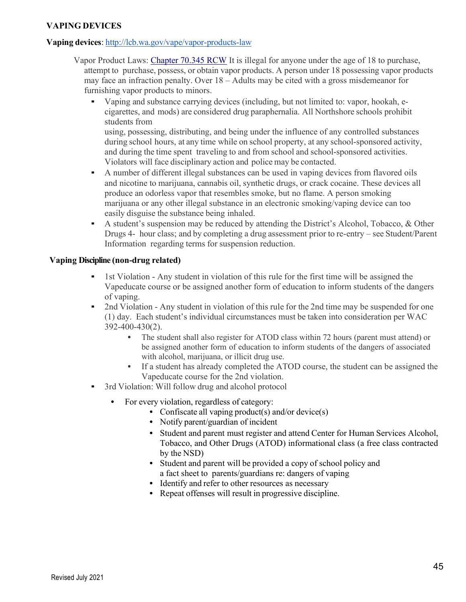#### **VAPING DEVICES**

#### **Vaping devices**: http://lcb.wa.gov/vape/vapor-products-law

- Vapor Product Laws: Chapter 70.345 RCW It is illegal for anyone under the age of 18 to purchase, attempt to purchase, possess, or obtain vapor products. A person under 18 possessing vapor products may face an infraction penalty. Over 18 – Adults may be cited with a gross misdemeanor for furnishing vapor products to minors.
	- Vaping and substance carrying devices (including, but not limited to: vapor, hookah, ecigarettes, and mods) are considered drug paraphernalia. All Northshore schools prohibit students from using, possessing, distributing, and being under the influence of any controlled substances

during school hours, at any time while on school property, at any school-sponsored activity, and during the time spent traveling to and from school and school-sponsored activities. Violators will face disciplinary action and police may be contacted.

- A number of different illegal substances can be used in vaping devices from flavored oils and nicotine to marijuana, cannabis oil, synthetic drugs, or crack cocaine. These devices all produce an odorless vapor that resembles smoke, but no flame. A person smoking marijuana or any other illegal substance in an electronic smoking/vaping device can too easily disguise the substance being inhaled.
- A student's suspension may be reduced by attending the District's Alcohol, Tobacco,  $\&$  Other Drugs 4- hour class; and by completing a drug assessment prior to re-entry – see Student/Parent Information regarding terms for suspension reduction.

#### **Vaping Discipline (non-drug related)**

- 1st Violation Any student in violation of this rule for the first time will be assigned the Vapeducate course or be assigned another form of education to inform students of the dangers of vaping.
- 2nd Violation Any student in violation of this rule for the 2nd time may be suspended for one (1) day. Each student's individual circumstances must be taken into consideration per WAC 392-400-430(2).
	- The student shall also register for ATOD class within 72 hours (parent must attend) or be assigned another form of education to inform students of the dangers of associated with alcohol, marijuana, or illicit drug use.
	- If a student has already completed the ATOD course, the student can be assigned the Vapeducate course for the 2nd violation.
- 3rd Violation: Will follow drug and alcohol protocol
	- For every violation, regardless of category:
		- Confiscate all vaping product(s) and/or device(s)
		- Notify parent/guardian of incident
		- Student and parent must register and attend Center for Human Services Alcohol, Tobacco, and Other Drugs (ATOD) informational class (a free class contracted by the NSD)
		- Student and parent will be provided a copy of school policy and a fact sheet to parents/guardians re: dangers of vaping
		- Identify and refer to other resources as necessary
		- Repeat offenses will result in progressive discipline.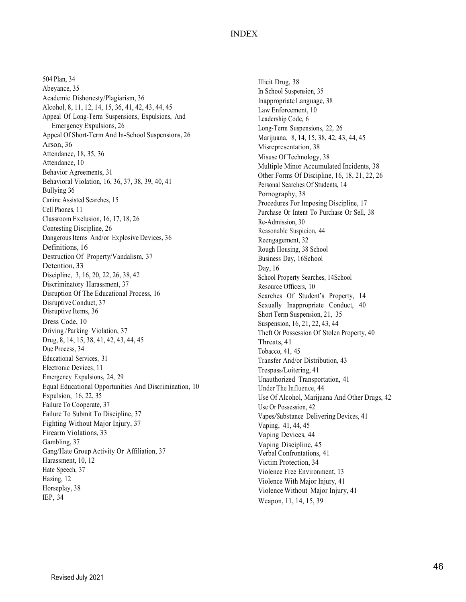#### INDEX

504 Plan, 34 Abeyance, 35 Academic Dishonesty/Plagiarism, 36 Alcohol, 8, 11, 12, 14, 15, 36, 41, 42, 43, 44, 45 Appeal Of Long -Term Suspensions, Expulsions, And Emergency Expulsions, 26 Appeal Of Short -Term And In -School Suspensions, 26 Arson, 36 Attendance, 18, 35, 36 Attendance, 10 Behavior Agreements, 31 Behavioral Violation, 16, 36, 37, 38, 39, 40, 41 Bullying 36 Canine Assisted Searches, 15 Cell Phones, 11 Classroom Exclusion, 16, 17, 18, 26 Contesting Discipline, 26 Dangerous Items And/or Explosive Devices, 36 Definitions, 16 Destruction Of Property/Vandalism, 37 Detention, 33 Discipline, 3, 16, 20, 22, 26, 38, 42 Discriminatory Harassment, 37 Disruption Of The Educational Process, 16 Disruptive Conduct, 37 Disruptive Items, 36 Dress Code, 1 0 Driving /Parking Violation, 37 Drug, 8, 14, 15, 38, 41, 42, 43, 44, 45 Due Process, 34 Educational Services, 31 Electronic Devices, 11 Emergency Expulsions, 24, 29 Equal Educational Opportunities And Discrimination, 10 Expulsion, 16, 22, 35 Failure To Cooperate, 37 Failure To Submit To Discipline, 37 Fighting Without Major Injury, 37 Firearm Violations, 33 Gambling, 37 Gang/Hate Group Activity Or Affiliation, 37 Harassment, 10, 12 Hate Speech, 37 Hazing, 12 Horseplay, 38 IEP, 34

Illicit Drug, 38 In School Suspension, 35 Inappropriate Language, 38 Law Enforcement, 10 Leadership Code, 6 Long -Term Suspensions, 22, 26 Marijuana, 8, 14, 15, 38, 42, 43, 44, 45 Misrepresentation, 38 Misuse Of Technology, 38 Multiple Minor Accumulated Incidents, 38 Other Forms Of Discipline, 16, 18, 21, 22, 26 Personal Searches Of Students, 14 Pornography, 38 Procedures For Imposing Discipline, 17 Purchase Or Intent To Purchase Or Sell , 38 Re -Admission, 30 Reasonable Suspicion , 44 Reengagement, 32 Rough Housing, 38 School Business Day, 16School Day, 16 School Property Searches, 14School Resource Officers, 10 Searches Of Student's Property, 14 Sexually Inappropriate Conduct, 40 Short Term Suspension, 21, 35 Suspension, 16, 21, 22, 43, 44 Theft Or Possession Of Stolen Property, 40 Threats, 41 Tobacco, 41, 45 Transfer And/or Distribution, 43 Trespass/Loitering, 41 Unauthorized Transportation, 41 Under The Influence , 44 Use Of Alcohol, Marijuana And Other Drugs, 42 Use Or Possession, 42<br>Vapes/Substance Delivering Devices, 41 Vaping, 41, 44, 45 Vaping Devices, 44 Vaping Discipline, 45 Verbal Confrontations, 41 Victim Protection, 34 Violence Free Environment, 13 Violence With Major Injury, 41 Violence Without Major Injury, 41 Weapon, 11, 14, 15, 39